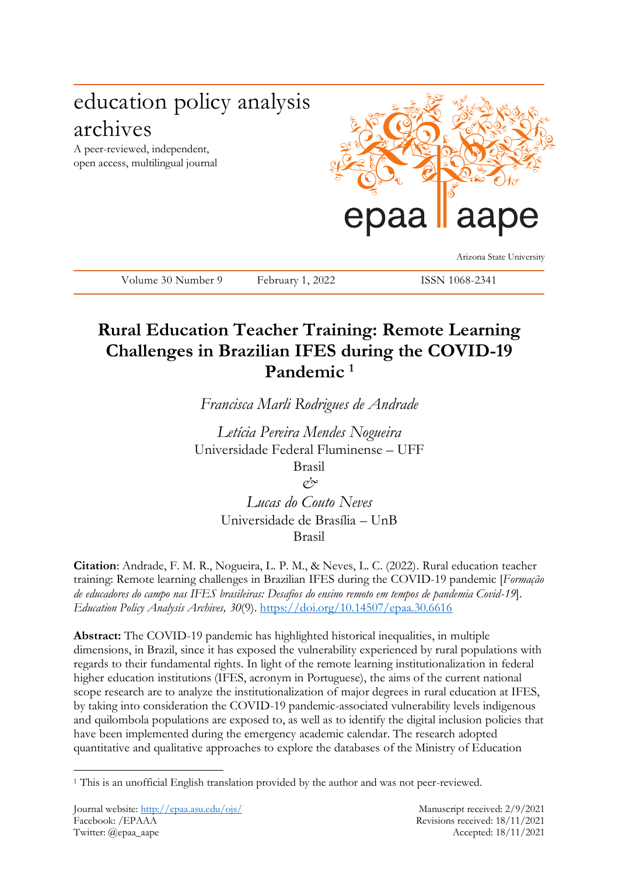# education policy analysis archives

A peer-reviewed, independent, open access, multilingual journal



Volume 30 Number 9 February 1, 2022 ISSN 1068-2341

Arizona State University

# **Rural Education Teacher Training: Remote Learning Challenges in Brazilian IFES during the COVID-19 Pandemic <sup>1</sup>**

*Francisca Marli Rodrigues de Andrade*

*Letícia Pereira Mendes Nogueira* Universidade Federal Fluminense – UFF Brasil *&*

> *Lucas do Couto Neves* Universidade de Brasília – UnB Brasil

**Citation**: Andrade, F. M. R., Nogueira, L. P. M., & Neves, L. C. (2022). Rural education teacher training: Remote learning challenges in Brazilian IFES during the COVID-19 pandemic [*Formação de educadores do campo nas IFES brasileiras: Desafios do ensino remoto em tempos de pandemia Covid-19*]. *Education Policy Analysis Archives, 30*(9).<https://doi.org/10.14507/epaa.30.6616>

**Abstract:** The COVID-19 pandemic has highlighted historical inequalities, in multiple dimensions, in Brazil, since it has exposed the vulnerability experienced by rural populations with regards to their fundamental rights. In light of the remote learning institutionalization in federal higher education institutions (IFES, acronym in Portuguese), the aims of the current national scope research are to analyze the institutionalization of major degrees in rural education at IFES, by taking into consideration the COVID-19 pandemic-associated vulnerability levels indigenous and quilombola populations are exposed to, as well as to identify the digital inclusion policies that have been implemented during the emergency academic calendar. The research adopted quantitative and qualitative approaches to explore the databases of the Ministry of Education

<sup>1</sup> <sup>1</sup> This is an unofficial English translation provided by the author and was not peer-reviewed.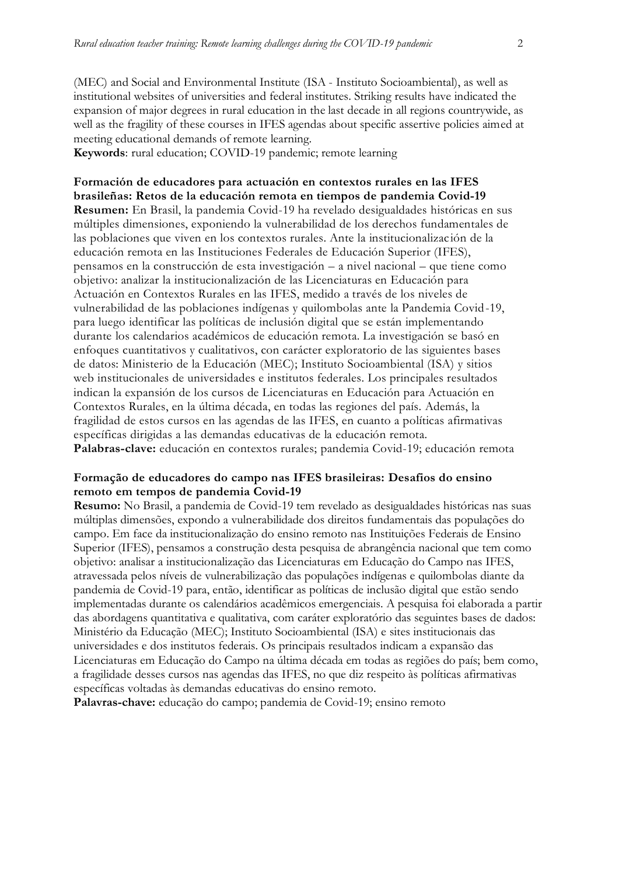(MEC) and Social and Environmental Institute (ISA - Instituto Socioambiental), as well as institutional websites of universities and federal institutes. Striking results have indicated the expansion of major degrees in rural education in the last decade in all regions countrywide, as well as the fragility of these courses in IFES agendas about specific assertive policies aimed at meeting educational demands of remote learning.

**Keywords**: rural education; COVID-19 pandemic; remote learning

**Formación de educadores para actuación en contextos rurales en las IFES brasileñas: Retos de la educación remota en tiempos de pandemia Covid-19 Resumen:** En Brasil, la pandemia Covid-19 ha revelado desigualdades históricas en sus múltiples dimensiones, exponiendo la vulnerabilidad de los derechos fundamentales de las poblaciones que viven en los contextos rurales. Ante la institucionalización de la educación remota en las Instituciones Federales de Educación Superior (IFES), pensamos en la construcción de esta investigación – a nivel nacional – que tiene como objetivo: analizar la institucionalización de las Licenciaturas en Educación para Actuación en Contextos Rurales en las IFES, medido a través de los niveles de vulnerabilidad de las poblaciones indígenas y quilombolas ante la Pandemia Covid-19, para luego identificar las políticas de inclusión digital que se están implementando durante los calendarios académicos de educación remota. La investigación se basó en enfoques cuantitativos y cualitativos, con carácter exploratorio de las siguientes bases de datos: Ministerio de la Educación (MEC); Instituto Socioambiental (ISA) y sitios web institucionales de universidades e institutos federales. Los principales resultados indican la expansión de los cursos de Licenciaturas en Educación para Actuación en Contextos Rurales, en la última década, en todas las regiones del país. Además, la fragilidad de estos cursos en las agendas de las IFES, en cuanto a políticas afirmativas específicas dirigidas a las demandas educativas de la educación remota. **Palabras-clave:** educación en contextos rurales; pandemia Covid-19; educación remota

#### **Formação de educadores do campo nas IFES brasileiras: Desafios do ensino remoto em tempos de pandemia Covid-19**

**Resumo:** No Brasil, a pandemia de Covid-19 tem revelado as desigualdades históricas nas suas múltiplas dimensões, expondo a vulnerabilidade dos direitos fundamentais das populações do campo. Em face da institucionalização do ensino remoto nas Instituições Federais de Ensino Superior (IFES), pensamos a construção desta pesquisa de abrangência nacional que tem como objetivo: analisar a institucionalização das Licenciaturas em Educação do Campo nas IFES, atravessada pelos níveis de vulnerabilização das populações indígenas e quilombolas diante da pandemia de Covid-19 para, então, identificar as políticas de inclusão digital que estão sendo implementadas durante os calendários acadêmicos emergenciais. A pesquisa foi elaborada a partir das abordagens quantitativa e qualitativa, com caráter exploratório das seguintes bases de dados: Ministério da Educação (MEC); Instituto Socioambiental (ISA) e sites institucionais das universidades e dos institutos federais. Os principais resultados indicam a expansão das Licenciaturas em Educação do Campo na última década em todas as regiões do país; bem como, a fragilidade desses cursos nas agendas das IFES, no que diz respeito às políticas afirmativas específicas voltadas às demandas educativas do ensino remoto.

**Palavras-chave:** educação do campo; pandemia de Covid-19; ensino remoto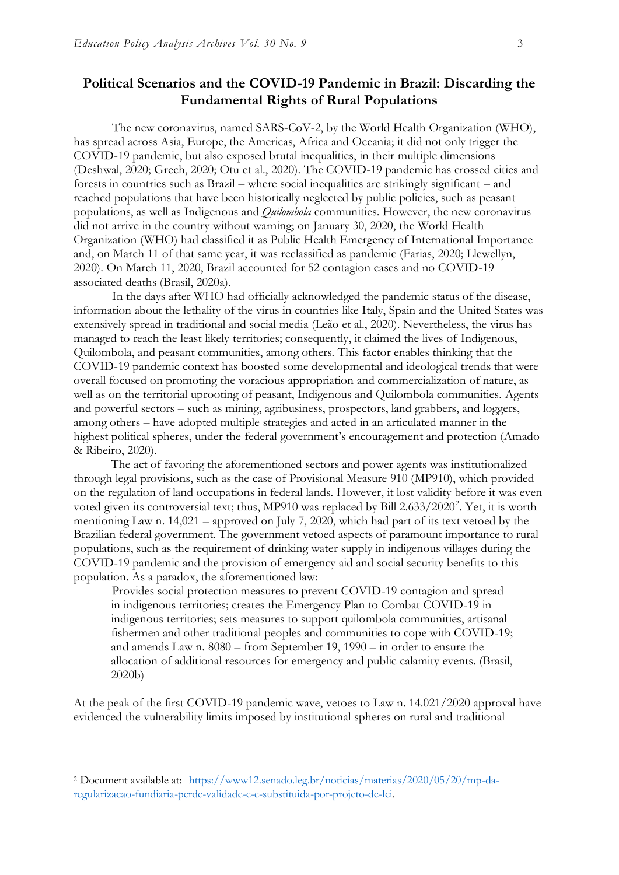### **Political Scenarios and the COVID-19 Pandemic in Brazil: Discarding the Fundamental Rights of Rural Populations**

The new coronavirus, named SARS-CoV-2, by the World Health Organization (WHO), has spread across Asia, Europe, the Americas, Africa and Oceania; it did not only trigger the COVID-19 pandemic, but also exposed brutal inequalities, in their multiple dimensions (Deshwal, 2020; Grech, 2020; Otu et al., 2020). The COVID-19 pandemic has crossed cities and forests in countries such as Brazil – where social inequalities are strikingly significant – and reached populations that have been historically neglected by public policies, such as peasant populations, as well as Indigenous and *Quilombola* communities. However, the new coronavirus did not arrive in the country without warning; on January 30, 2020, the World Health Organization (WHO) had classified it as Public Health Emergency of International Importance and, on March 11 of that same year, it was reclassified as pandemic (Farias, 2020; Llewellyn, 2020). On March 11, 2020, Brazil accounted for 52 contagion cases and no COVID-19 associated deaths (Brasil, 2020a).

In the days after WHO had officially acknowledged the pandemic status of the disease, information about the lethality of the virus in countries like Italy, Spain and the United States was extensively spread in traditional and social media (Leão et al., 2020). Nevertheless, the virus has managed to reach the least likely territories; consequently, it claimed the lives of Indigenous, Quilombola, and peasant communities, among others. This factor enables thinking that the COVID-19 pandemic context has boosted some developmental and ideological trends that were overall focused on promoting the voracious appropriation and commercialization of nature, as well as on the territorial uprooting of peasant, Indigenous and Quilombola communities. Agents and powerful sectors – such as mining, agribusiness, prospectors, land grabbers, and loggers, among others – have adopted multiple strategies and acted in an articulated manner in the highest political spheres, under the federal government's encouragement and protection (Amado & Ribeiro, 2020).

The act of favoring the aforementioned sectors and power agents was institutionalized through legal provisions, such as the case of Provisional Measure 910 (MP910), which provided on the regulation of land occupations in federal lands. However, it lost validity before it was even voted given its controversial text; thus, MP910 was replaced by Bill 2.633/2020<sup>2</sup>. Yet, it is worth mentioning Law n. 14,021 – approved on July 7, 2020, which had part of its text vetoed by the Brazilian federal government. The government vetoed aspects of paramount importance to rural populations, such as the requirement of drinking water supply in indigenous villages during the COVID-19 pandemic and the provision of emergency aid and social security benefits to this population. As a paradox, the aforementioned law:

Provides social protection measures to prevent COVID-19 contagion and spread in indigenous territories; creates the Emergency Plan to Combat COVID-19 in indigenous territories; sets measures to support quilombola communities, artisanal fishermen and other traditional peoples and communities to cope with COVID-19; and amends Law n. 8080 – from September 19, 1990 – in order to ensure the allocation of additional resources for emergency and public calamity events. (Brasil, 2020b)

At the peak of the first COVID-19 pandemic wave, vetoes to Law n. 14.021/2020 approval have evidenced the vulnerability limits imposed by institutional spheres on rural and traditional

<sup>2</sup> Document available at: [https://www12.senado.leg.br/noticias/materias/2020/05/20/mp-da](https://www12.senado.leg.br/noticias/materias/2020/05/20/mp-da-regularizacao-fundiaria-perde-validade-e-e-substituida-por-projeto-de-lei)[regularizacao-fundiaria-perde-validade-e-e-substituida-por-projeto-de-lei.](https://www12.senado.leg.br/noticias/materias/2020/05/20/mp-da-regularizacao-fundiaria-perde-validade-e-e-substituida-por-projeto-de-lei)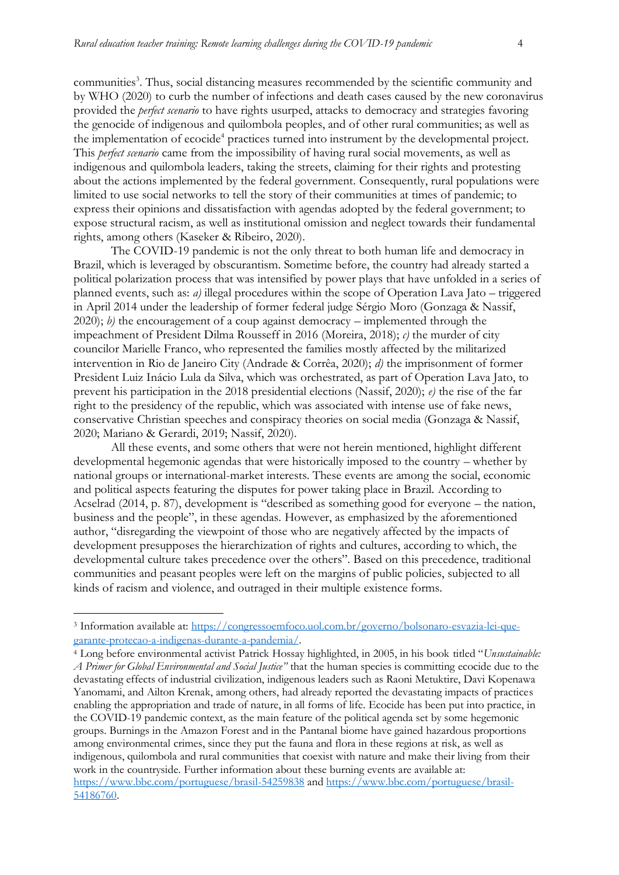communities<sup>3</sup>. Thus, social distancing measures recommended by the scientific community and by WHO (2020) to curb the number of infections and death cases caused by the new coronavirus provided the *perfect scenario* to have rights usurped, attacks to democracy and strategies favoring the genocide of indigenous and quilombola peoples, and of other rural communities; as well as the implementation of ecocide<sup>4</sup> practices turned into instrument by the developmental project. This *perfect scenario* came from the impossibility of having rural social movements, as well as indigenous and quilombola leaders, taking the streets, claiming for their rights and protesting about the actions implemented by the federal government. Consequently, rural populations were limited to use social networks to tell the story of their communities at times of pandemic; to express their opinions and dissatisfaction with agendas adopted by the federal government; to expose structural racism, as well as institutional omission and neglect towards their fundamental rights, among others (Kaseker & Ribeiro, 2020).

The COVID-19 pandemic is not the only threat to both human life and democracy in Brazil, which is leveraged by obscurantism. Sometime before, the country had already started a political polarization process that was intensified by power plays that have unfolded in a series of planned events, such as: *a)* illegal procedures within the scope of Operation Lava Jato – triggered in April 2014 under the leadership of former federal judge Sérgio Moro (Gonzaga & Nassif, 2020); *b)* the encouragement of a coup against democracy – implemented through the impeachment of President Dilma Rousseff in 2016 (Moreira, 2018); *c)* the murder of city councilor Marielle Franco, who represented the families mostly affected by the militarized intervention in Rio de Janeiro City (Andrade & Corrêa, 2020); *d)* the imprisonment of former President Luiz Inácio Lula da Silva, which was orchestrated, as part of Operation Lava Jato, to prevent his participation in the 2018 presidential elections (Nassif, 2020); *e)* the rise of the far right to the presidency of the republic, which was associated with intense use of fake news, conservative Christian speeches and conspiracy theories on social media (Gonzaga & Nassif, 2020; Mariano & Gerardi, 2019; Nassif, 2020).

All these events, and some others that were not herein mentioned, highlight different developmental hegemonic agendas that were historically imposed to the country – whether by national groups or international-market interests. These events are among the social, economic and political aspects featuring the disputes for power taking place in Brazil. According to Acselrad (2014, p. 87), development is "described as something good for everyone – the nation, business and the people", in these agendas. However, as emphasized by the aforementioned author, "disregarding the viewpoint of those who are negatively affected by the impacts of development presupposes the hierarchization of rights and cultures, according to which, the developmental culture takes precedence over the others". Based on this precedence, traditional communities and peasant peoples were left on the margins of public policies, subjected to all kinds of racism and violence, and outraged in their multiple existence forms.

1

<sup>3</sup> Information available at: [https://congressoemfoco.uol.com.br/governo/bolsonaro-esvazia-lei-que](https://congressoemfoco.uol.com.br/governo/bolsonaro-esvazia-lei-que-garante-protecao-a-indigenas-durante-a-pandemia/)[garante-protecao-a-indigenas-durante-a-pandemia/.](https://congressoemfoco.uol.com.br/governo/bolsonaro-esvazia-lei-que-garante-protecao-a-indigenas-durante-a-pandemia/)

<sup>4</sup> Long before environmental activist Patrick Hossay highlighted, in 2005, in his book titled "*Unsustainable: A Primer for Global Environmental and Social Justice"* that the human species is committing ecocide due to the devastating effects of industrial civilization, indigenous leaders such as Raoni Metuktire, Davi Kopenawa Yanomami, and Ailton Krenak, among others, had already reported the devastating impacts of practices enabling the appropriation and trade of nature, in all forms of life. Ecocide has been put into practice, in the COVID-19 pandemic context, as the main feature of the political agenda set by some hegemonic groups. Burnings in the Amazon Forest and in the Pantanal biome have gained hazardous proportions among environmental crimes, since they put the fauna and flora in these regions at risk, as well as indigenous, quilombola and rural communities that coexist with nature and make their living from their work in the countryside. Further information about these burning events are available at: <https://www.bbc.com/portuguese/brasil-54259838> and [https://www.bbc.com/portuguese/brasil-](https://www.bbc.com/portuguese/brasil-54186760)[54186760.](https://www.bbc.com/portuguese/brasil-54186760)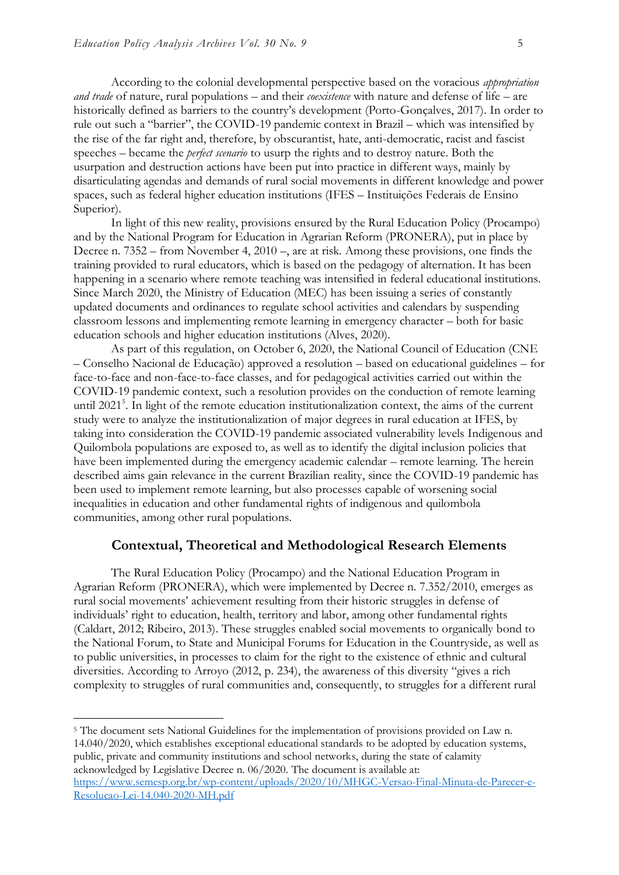According to the colonial developmental perspective based on the voracious *appropriation and trade* of nature, rural populations – and their *coexistence* with nature and defense of life – are historically defined as barriers to the country's development (Porto-Gonçalves, 2017). In order to rule out such a "barrier", the COVID-19 pandemic context in Brazil – which was intensified by the rise of the far right and, therefore, by obscurantist, hate, anti-democratic, racist and fascist speeches – became the *perfect scenario* to usurp the rights and to destroy nature. Both the usurpation and destruction actions have been put into practice in different ways, mainly by disarticulating agendas and demands of rural social movements in different knowledge and power spaces, such as federal higher education institutions (IFES – Instituições Federais de Ensino Superior).

In light of this new reality, provisions ensured by the Rural Education Policy (Procampo) and by the National Program for Education in Agrarian Reform (PRONERA), put in place by Decree n. 7352 – from November 4, 2010 –, are at risk. Among these provisions, one finds the training provided to rural educators, which is based on the pedagogy of alternation. It has been happening in a scenario where remote teaching was intensified in federal educational institutions. Since March 2020, the Ministry of Education (MEC) has been issuing a series of constantly updated documents and ordinances to regulate school activities and calendars by suspending classroom lessons and implementing remote learning in emergency character – both for basic education schools and higher education institutions (Alves, 2020).

As part of this regulation, on October 6, 2020, the National Council of Education (CNE – Conselho Nacional de Educação) approved a resolution – based on educational guidelines – for face-to-face and non-face-to-face classes, and for pedagogical activities carried out within the COVID-19 pandemic context, such a resolution provides on the conduction of remote learning until 2021<sup>5</sup>. In light of the remote education institutionalization context, the aims of the current study were to analyze the institutionalization of major degrees in rural education at IFES, by taking into consideration the COVID-19 pandemic associated vulnerability levels Indigenous and Quilombola populations are exposed to, as well as to identify the digital inclusion policies that have been implemented during the emergency academic calendar – remote learning. The herein described aims gain relevance in the current Brazilian reality, since the COVID-19 pandemic has been used to implement remote learning, but also processes capable of worsening social inequalities in education and other fundamental rights of indigenous and quilombola communities, among other rural populations.

#### **Contextual, Theoretical and Methodological Research Elements**

The Rural Education Policy (Procampo) and the National Education Program in Agrarian Reform (PRONERA), which were implemented by Decree n. 7.352/2010, emerges as rural social movements' achievement resulting from their historic struggles in defense of individuals' right to education, health, territory and labor, among other fundamental rights (Caldart, 2012; Ribeiro, 2013). These struggles enabled social movements to organically bond to the National Forum, to State and Municipal Forums for Education in the Countryside, as well as to public universities, in processes to claim for the right to the existence of ethnic and cultural diversities. According to Arroyo (2012, p. 234), the awareness of this diversity "gives a rich complexity to struggles of rural communities and, consequently, to struggles for a different rural

<sup>5</sup> The document sets National Guidelines for the implementation of provisions provided on Law n. 14.040/2020, which establishes exceptional educational standards to be adopted by education systems, public, private and community institutions and school networks, during the state of calamity acknowledged by Legislative Decree n. 06/2020. The document is available at: [https://www.semesp.org.br/wp-content/uploads/2020/10/MHGC-Versao-Final-Minuta-de-Parecer-e-](https://www.semesp.org.br/wp-content/uploads/2020/10/MHGC-Versao-Final-Minuta-de-Parecer-e-Resolucao-Lei-14.040-2020-MH.pdf)

[Resolucao-Lei-14.040-2020-MH.pdf](https://www.semesp.org.br/wp-content/uploads/2020/10/MHGC-Versao-Final-Minuta-de-Parecer-e-Resolucao-Lei-14.040-2020-MH.pdf)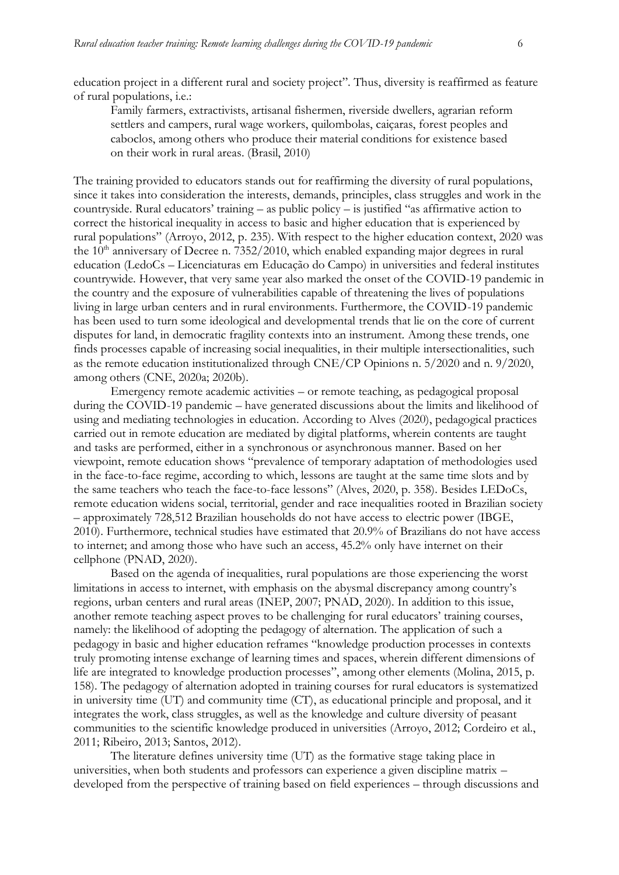education project in a different rural and society project". Thus, diversity is reaffirmed as feature of rural populations, i.e.:

Family farmers, extractivists, artisanal fishermen, riverside dwellers, agrarian reform settlers and campers, rural wage workers, quilombolas, caiçaras, forest peoples and caboclos, among others who produce their material conditions for existence based on their work in rural areas. (Brasil, 2010)

The training provided to educators stands out for reaffirming the diversity of rural populations, since it takes into consideration the interests, demands, principles, class struggles and work in the countryside. Rural educators' training – as public policy – is justified "as affirmative action to correct the historical inequality in access to basic and higher education that is experienced by rural populations" (Arroyo, 2012, p. 235). With respect to the higher education context, 2020 was the  $10<sup>th</sup>$  anniversary of Decree n. 7352/2010, which enabled expanding major degrees in rural education (LedoCs – Licenciaturas em Educação do Campo) in universities and federal institutes countrywide. However, that very same year also marked the onset of the COVID-19 pandemic in the country and the exposure of vulnerabilities capable of threatening the lives of populations living in large urban centers and in rural environments. Furthermore, the COVID-19 pandemic has been used to turn some ideological and developmental trends that lie on the core of current disputes for land, in democratic fragility contexts into an instrument. Among these trends, one finds processes capable of increasing social inequalities, in their multiple intersectionalities, such as the remote education institutionalized through CNE/CP Opinions n. 5/2020 and n. 9/2020, among others (CNE, 2020a; 2020b).

Emergency remote academic activities – or remote teaching, as pedagogical proposal during the COVID-19 pandemic – have generated discussions about the limits and likelihood of using and mediating technologies in education. According to Alves (2020), pedagogical practices carried out in remote education are mediated by digital platforms, wherein contents are taught and tasks are performed, either in a synchronous or asynchronous manner. Based on her viewpoint, remote education shows "prevalence of temporary adaptation of methodologies used in the face-to-face regime, according to which, lessons are taught at the same time slots and by the same teachers who teach the face-to-face lessons" (Alves, 2020, p. 358). Besides LEDoCs, remote education widens social, territorial, gender and race inequalities rooted in Brazilian society – approximately 728,512 Brazilian households do not have access to electric power (IBGE, 2010). Furthermore, technical studies have estimated that 20.9% of Brazilians do not have access to internet; and among those who have such an access, 45.2% only have internet on their cellphone (PNAD, 2020).

Based on the agenda of inequalities, rural populations are those experiencing the worst limitations in access to internet, with emphasis on the abysmal discrepancy among country's regions, urban centers and rural areas (INEP, 2007; PNAD, 2020). In addition to this issue, another remote teaching aspect proves to be challenging for rural educators' training courses, namely: the likelihood of adopting the pedagogy of alternation. The application of such a pedagogy in basic and higher education reframes "knowledge production processes in contexts truly promoting intense exchange of learning times and spaces, wherein different dimensions of life are integrated to knowledge production processes", among other elements (Molina, 2015, p. 158). The pedagogy of alternation adopted in training courses for rural educators is systematized in university time (UT) and community time (CT), as educational principle and proposal, and it integrates the work, class struggles, as well as the knowledge and culture diversity of peasant communities to the scientific knowledge produced in universities (Arroyo, 2012; Cordeiro et al., 2011; Ribeiro, 2013; Santos, 2012).

The literature defines university time (UT) as the formative stage taking place in universities, when both students and professors can experience a given discipline matrix – developed from the perspective of training based on field experiences – through discussions and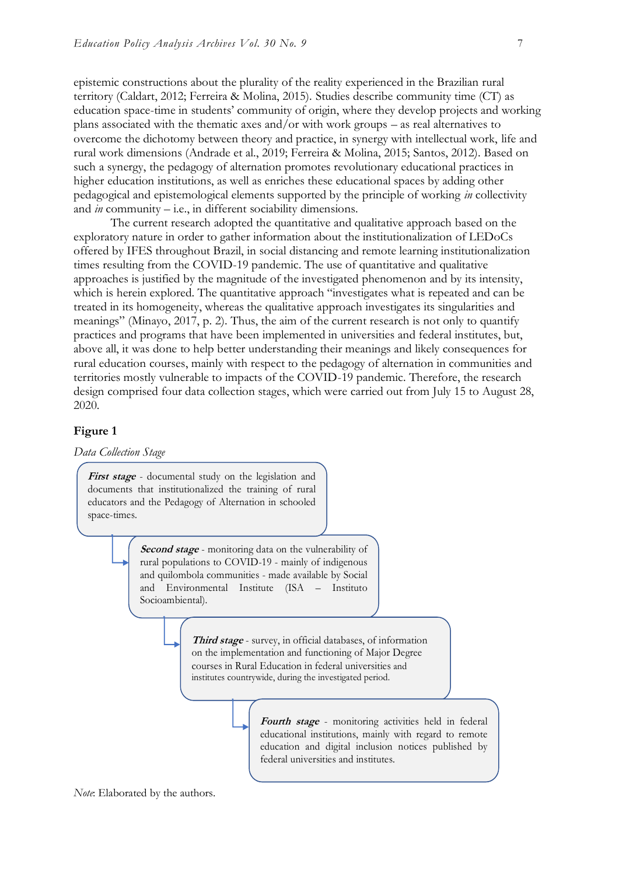epistemic constructions about the plurality of the reality experienced in the Brazilian rural territory (Caldart, 2012; Ferreira & Molina, 2015). Studies describe community time (CT) as education space-time in students' community of origin, where they develop projects and working plans associated with the thematic axes and/or with work groups – as real alternatives to overcome the dichotomy between theory and practice, in synergy with intellectual work, life and rural work dimensions (Andrade et al., 2019; Ferreira & Molina, 2015; Santos, 2012). Based on such a synergy, the pedagogy of alternation promotes revolutionary educational practices in higher education institutions, as well as enriches these educational spaces by adding other pedagogical and epistemological elements supported by the principle of working *in* collectivity and *in* community – i.e., in different sociability dimensions.

The current research adopted the quantitative and qualitative approach based on the exploratory nature in order to gather information about the institutionalization of LEDoCs offered by IFES throughout Brazil, in social distancing and remote learning institutionalization times resulting from the COVID-19 pandemic. The use of quantitative and qualitative approaches is justified by the magnitude of the investigated phenomenon and by its intensity, which is herein explored. The quantitative approach "investigates what is repeated and can be treated in its homogeneity, whereas the qualitative approach investigates its singularities and meanings" (Minayo, 2017, p. 2). Thus, the aim of the current research is not only to quantify practices and programs that have been implemented in universities and federal institutes, but, above all, it was done to help better understanding their meanings and likely consequences for rural education courses, mainly with respect to the pedagogy of alternation in communities and territories mostly vulnerable to impacts of the COVID-19 pandemic. Therefore, the research design comprised four data collection stages, which were carried out from July 15 to August 28, 2020.

#### **Figure 1**

*Data Collection Stage*

**First stage** - documental study on the legislation and documents that institutionalized the training of rural educators and the Pedagogy of Alternation in schooled space-times.

> **Second stage** - monitoring data on the vulnerability of rural populations to COVID-19 - mainly of indigenous and quilombola communities - made available by Social and Environmental Institute (ISA – Instituto Socioambiental).

> > **Third stage** - survey, in official databases, of information on the implementation and functioning of Major Degree courses in Rural Education in federal universities and institutes countrywide, during the investigated period.

> > > **Fourth stage** - monitoring activities held in federal educational institutions, mainly with regard to remote education and digital inclusion notices published by federal universities and institutes.

*Note*: Elaborated by the authors.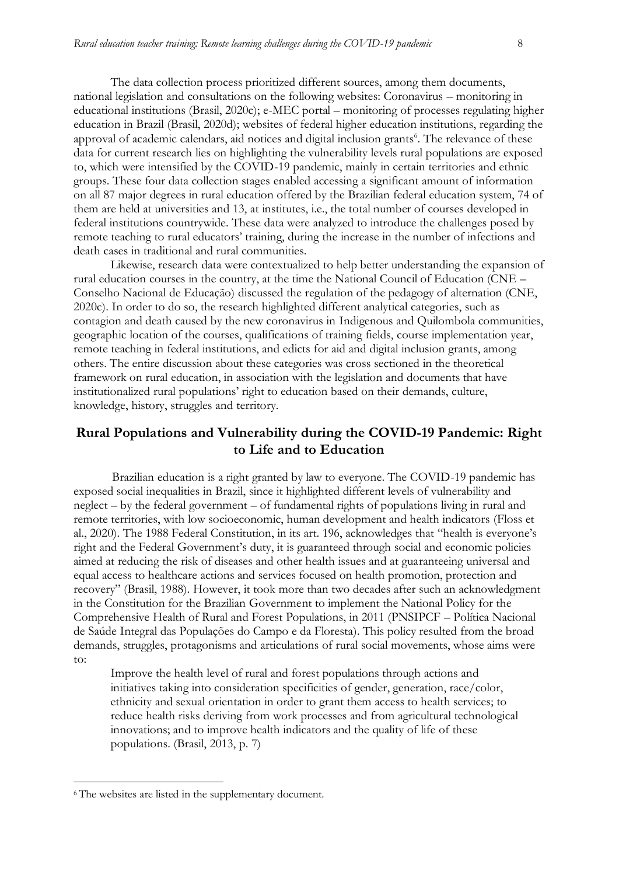The data collection process prioritized different sources, among them documents, national legislation and consultations on the following websites: Coronavirus – monitoring in educational institutions (Brasil, 2020c); e-MEC portal – monitoring of processes regulating higher education in Brazil (Brasil, 2020d); websites of federal higher education institutions, regarding the approval of academic calendars, aid notices and digital inclusion grants<sup>6</sup>. The relevance of these data for current research lies on highlighting the vulnerability levels rural populations are exposed to, which were intensified by the COVID-19 pandemic, mainly in certain territories and ethnic groups. These four data collection stages enabled accessing a significant amount of information on all 87 major degrees in rural education offered by the Brazilian federal education system, 74 of them are held at universities and 13, at institutes, i.e., the total number of courses developed in federal institutions countrywide. These data were analyzed to introduce the challenges posed by remote teaching to rural educators' training, during the increase in the number of infections and death cases in traditional and rural communities.

Likewise, research data were contextualized to help better understanding the expansion of rural education courses in the country, at the time the National Council of Education (CNE – Conselho Nacional de Educação) discussed the regulation of the pedagogy of alternation (CNE, 2020c). In order to do so, the research highlighted different analytical categories, such as contagion and death caused by the new coronavirus in Indigenous and Quilombola communities, geographic location of the courses, qualifications of training fields, course implementation year, remote teaching in federal institutions, and edicts for aid and digital inclusion grants, among others. The entire discussion about these categories was cross sectioned in the theoretical framework on rural education, in association with the legislation and documents that have institutionalized rural populations' right to education based on their demands, culture, knowledge, history, struggles and territory.

## **Rural Populations and Vulnerability during the COVID-19 Pandemic: Right to Life and to Education**

Brazilian education is a right granted by law to everyone. The COVID-19 pandemic has exposed social inequalities in Brazil, since it highlighted different levels of vulnerability and neglect – by the federal government – of fundamental rights of populations living in rural and remote territories, with low socioeconomic, human development and health indicators (Floss et al., 2020). The 1988 Federal Constitution, in its art. 196, acknowledges that "health is everyone's right and the Federal Government's duty, it is guaranteed through social and economic policies aimed at reducing the risk of diseases and other health issues and at guaranteeing universal and equal access to healthcare actions and services focused on health promotion, protection and recovery" (Brasil, 1988). However, it took more than two decades after such an acknowledgment in the Constitution for the Brazilian Government to implement the National Policy for the Comprehensive Health of Rural and Forest Populations, in 2011 (PNSIPCF – Política Nacional de Saúde Integral das Populações do Campo e da Floresta). This policy resulted from the broad demands, struggles, protagonisms and articulations of rural social movements, whose aims were to:

Improve the health level of rural and forest populations through actions and initiatives taking into consideration specificities of gender, generation, race/color, ethnicity and sexual orientation in order to grant them access to health services; to reduce health risks deriving from work processes and from agricultural technological innovations; and to improve health indicators and the quality of life of these populations. (Brasil, 2013, p. 7)

<sup>6</sup> The websites are listed in the supplementary document.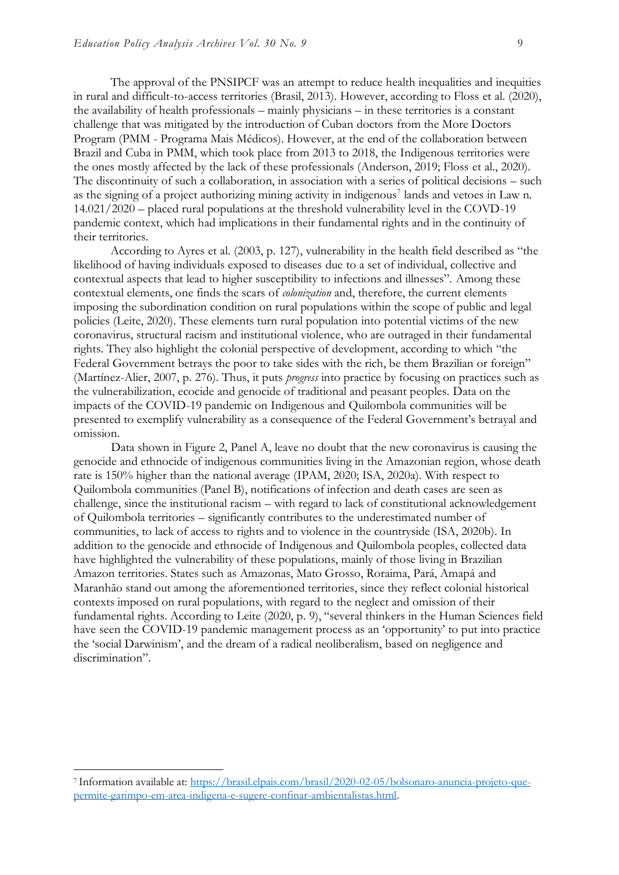The approval of the PNSIPCF was an attempt to reduce health inequalities and inequities in rural and difficult-to-access territories (Brasil, 2013). However, according to Floss et al. (2020), the availability of health professionals – mainly physicians – in these territories is a constant challenge that was mitigated by the introduction of Cuban doctors from the More Doctors Program (PMM - Programa Mais Médicos). However, at the end of the collaboration between Brazil and Cuba in PMM, which took place from 2013 to 2018, the Indigenous territories were the ones mostly affected by the lack of these professionals (Anderson, 2019; Floss et al., 2020). The discontinuity of such a collaboration, in association with a series of political decisions – such as the signing of a project authorizing mining activity in indigenous<sup>7</sup> lands and vetoes in Law n. 14.021/2020 – placed rural populations at the threshold vulnerability level in the COVD-19 pandemic context, which had implications in their fundamental rights and in the continuity of their territories.

According to Ayres et al. (2003, p. 127), vulnerability in the health field described as "the likelihood of having individuals exposed to diseases due to a set of individual, collective and contextual aspects that lead to higher susceptibility to infections and illnesses". Among these contextual elements, one finds the scars of *colonization* and, therefore, the current elements imposing the subordination condition on rural populations within the scope of public and legal policies (Leite, 2020). These elements turn rural population into potential victims of the new coronavirus, structural racism and institutional violence, who are outraged in their fundamental rights. They also highlight the colonial perspective of development, according to which "the Federal Government betrays the poor to take sides with the rich, be them Brazilian or foreign" (Martínez-Alier, 2007, p. 276). Thus, it puts *progress* into practice by focusing on practices such as the vulnerabilization, ecocide and genocide of traditional and peasant peoples. Data on the impacts of the COVID-19 pandemic on Indigenous and Quilombola communities will be presented to exemplify vulnerability as a consequence of the Federal Government's betrayal and omission.

Data shown in Figure 2, Panel A, leave no doubt that the new coronavirus is causing the genocide and ethnocide of indigenous communities living in the Amazonian region, whose death rate is 150% higher than the national average (IPAM, 2020; ISA, 2020a). With respect to Quilombola communities (Panel B), notifications of infection and death cases are seen as challenge, since the institutional racism – with regard to lack of constitutional acknowledgement of Quilombola territories – significantly contributes to the underestimated number of communities, to lack of access to rights and to violence in the countryside (ISA, 2020b). In addition to the genocide and ethnocide of Indigenous and Quilombola peoples, collected data have highlighted the vulnerability of these populations, mainly of those living in Brazilian Amazon territories. States such as Amazonas, Mato Grosso, Roraima, Pará, Amapá and Maranhão stand out among the aforementioned territories, since they reflect colonial historical contexts imposed on rural populations, with regard to the neglect and omission of their fundamental rights. According to Leite (2020, p. 9), "several thinkers in the Human Sciences field have seen the COVID-19 pandemic management process as an 'opportunity' to put into practice the 'social Darwinism', and the dream of a radical neoliberalism, based on negligence and discrimination".

<sup>7</sup> Information available at: [https://brasil.elpais.com/brasil/2020-02-05/bolsonaro-anuncia-projeto-que](https://brasil.elpais.com/brasil/2020-02-05/bolsonaro-anuncia-projeto-que-permite-garimpo-em-area-indigena-e-sugere-confinar-ambientalistas.html)[permite-garimpo-em-area-indigena-e-sugere-confinar-ambientalistas.html.](https://brasil.elpais.com/brasil/2020-02-05/bolsonaro-anuncia-projeto-que-permite-garimpo-em-area-indigena-e-sugere-confinar-ambientalistas.html)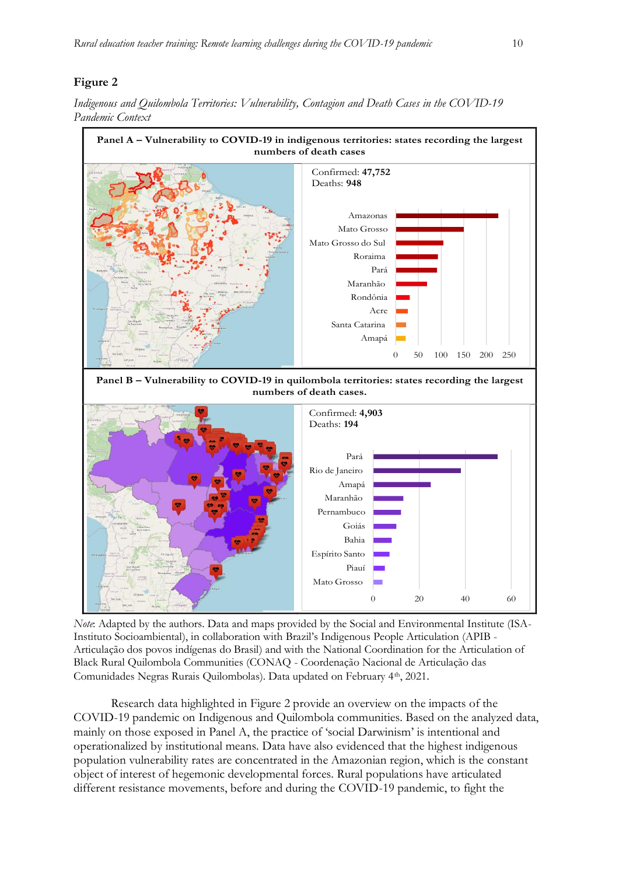#### **Figure 2**



*Indigenous and Quilombola Territories: Vulnerability, Contagion and Death Cases in the COVID-19 Pandemic Context* 

*Note*: Adapted by the authors. Data and maps provided by the Social and Environmental Institute (ISA- Instituto Socioambiental), in collaboration with Brazil's Indigenous People Articulation (APIB - Articulação dos povos indígenas do Brasil) and with the National Coordination for the Articulation of Black Rural Quilombola Communities (CONAQ - Coordenação Nacional de Articulação das Comunidades Negras Rurais Quilombolas). Data updated on February 4th, 2021. 

Research data highlighted in Figure 2 provide an overview on the impacts of the COVID-19 pandemic on Indigenous and Quilombola communities. Based on the analyzed data, mainly on those exposed in Panel A, the practice of 'social Darwinism' is intentional and operationalized by institutional means. Data have also evidenced that the highest indigenous population vulnerability rates are concentrated in the Amazonian region, which is the constant object of interest of hegemonic developmental forces. Rural populations have articulated different resistance movements, before and during the COVID-19 pandemic, to fight the l.  $\overline{C}$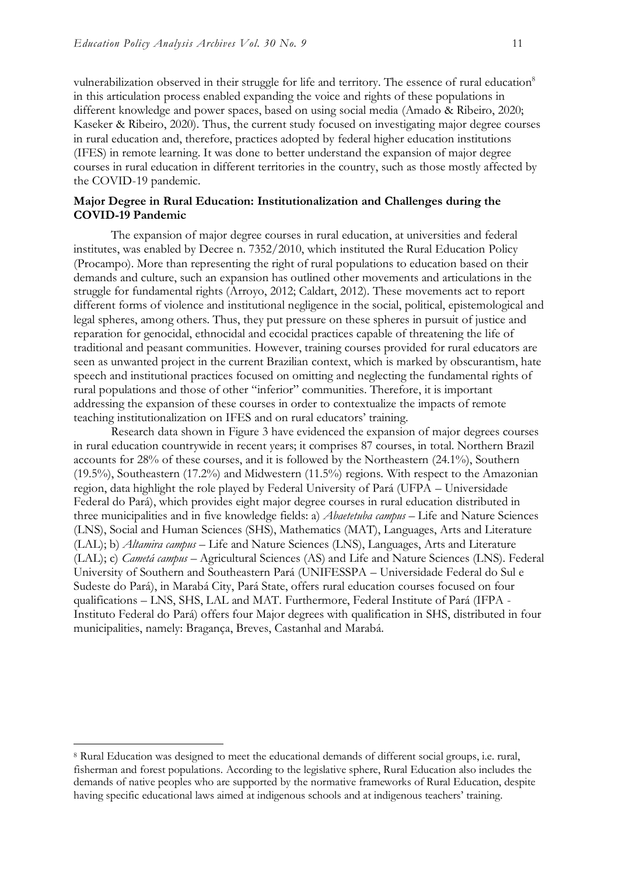vulnerabilization observed in their struggle for life and territory. The essence of rural education<sup>8</sup> in this articulation process enabled expanding the voice and rights of these populations in different knowledge and power spaces, based on using social media (Amado & Ribeiro, 2020; Kaseker & Ribeiro, 2020). Thus, the current study focused on investigating major degree courses in rural education and, therefore, practices adopted by federal higher education institutions (IFES) in remote learning. It was done to better understand the expansion of major degree courses in rural education in different territories in the country, such as those mostly affected by the COVID-19 pandemic.

#### **Major Degree in Rural Education: Institutionalization and Challenges during the COVID-19 Pandemic**

The expansion of major degree courses in rural education, at universities and federal institutes, was enabled by Decree n. 7352/2010, which instituted the Rural Education Policy (Procampo). More than representing the right of rural populations to education based on their demands and culture, such an expansion has outlined other movements and articulations in the struggle for fundamental rights (Arroyo, 2012; Caldart, 2012). These movements act to report different forms of violence and institutional negligence in the social, political, epistemological and legal spheres, among others. Thus, they put pressure on these spheres in pursuit of justice and reparation for genocidal, ethnocidal and ecocidal practices capable of threatening the life of traditional and peasant communities. However, training courses provided for rural educators are seen as unwanted project in the current Brazilian context, which is marked by obscurantism, hate speech and institutional practices focused on omitting and neglecting the fundamental rights of rural populations and those of other "inferior" communities. Therefore, it is important addressing the expansion of these courses in order to contextualize the impacts of remote teaching institutionalization on IFES and on rural educators' training.

Research data shown in Figure 3 have evidenced the expansion of major degrees courses in rural education countrywide in recent years; it comprises 87 courses, in total. Northern Brazil accounts for 28% of these courses, and it is followed by the Northeastern (24.1%), Southern  $(19.5\%)$ , Southeastern  $(17.2\%)$  and Midwestern  $(11.5\%)$  regions. With respect to the Amazonian region, data highlight the role played by Federal University of Pará (UFPA – Universidade Federal do Pará), which provides eight major degree courses in rural education distributed in three municipalities and in five knowledge fields: a) *Abaetetuba campus* – Life and Nature Sciences (LNS), Social and Human Sciences (SHS), Mathematics (MAT), Languages, Arts and Literature (LAL); b) *Altamira campus* – Life and Nature Sciences (LNS), Languages, Arts and Literature (LAL); c) *Cametá campus* – Agricultural Sciences (AS) and Life and Nature Sciences (LNS). Federal University of Southern and Southeastern Pará (UNIFESSPA – Universidade Federal do Sul e Sudeste do Pará), in Marabá City, Pará State, offers rural education courses focused on four qualifications – LNS, SHS, LAL and MAT. Furthermore, Federal Institute of Pará (IFPA - Instituto Federal do Pará) offers four Major degrees with qualification in SHS, distributed in four municipalities, namely: Bragança, Breves, Castanhal and Marabá.

<sup>8</sup> Rural Education was designed to meet the educational demands of different social groups, i.e. rural, fisherman and forest populations. According to the legislative sphere, Rural Education also includes the demands of native peoples who are supported by the normative frameworks of Rural Education, despite having specific educational laws aimed at indigenous schools and at indigenous teachers' training.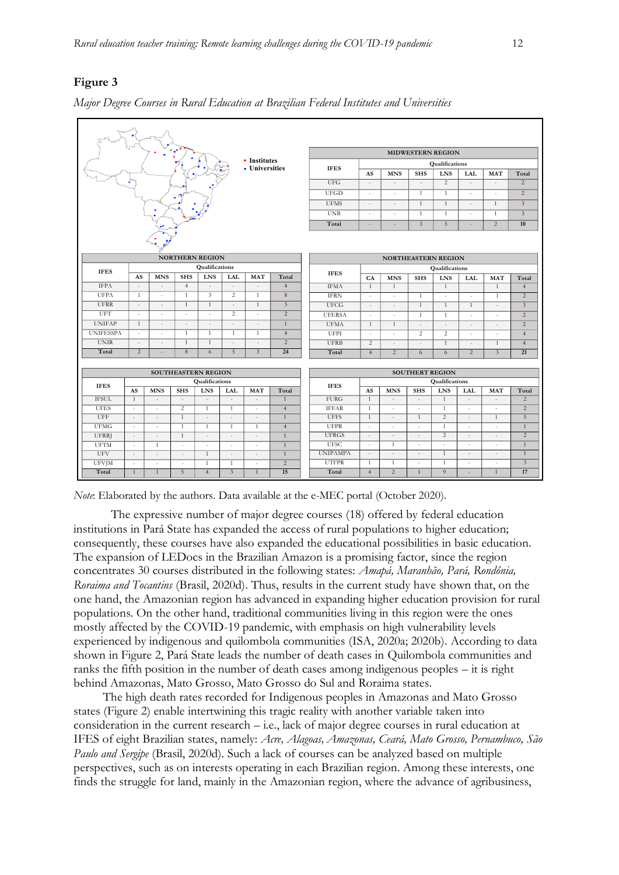#### **Figure 3**

|                      |                                               | ٠                             |                                    |                                          |                                    | • Institutes<br>• Universities |                                | <b>IFES</b><br><b>UFG</b><br><b>UFGD</b><br><b>UFMS</b><br><b>UNB</b><br>Total | AS<br>$\overline{\phantom{a}}$<br>$\sim$<br>$\overline{\phantom{a}}$<br>$\sim$<br>$\overline{\phantom{a}}$ | <b>MNS</b><br>÷.<br>í,<br>$\sim$<br>$\overline{\phantom{a}}$ | <b>SHS</b><br>$\overline{\phantom{a}}$<br>$\mathbf{1}$<br>$\mathbf{1}$<br>$\overline{1}$<br>$\overline{3}$ | <b>MIDWESTERN REGION</b><br>Qualifications<br><b>LNS</b><br>2<br>$\mathbf{1}$<br>$\mathbf{1}$<br>$\mathbf{1}$<br>5 | <b>LAL</b><br>$\sim$<br>×<br>$\sim$<br>$\sim$ | <b>MAT</b><br>×.<br>$\mathbf{1}$<br>$\mathbf{1}$<br>$\overline{c}$ | Total<br>2<br>$\overline{2}$<br>$\overline{3}$<br>$\overline{3}$<br>10 |
|----------------------|-----------------------------------------------|-------------------------------|------------------------------------|------------------------------------------|------------------------------------|--------------------------------|--------------------------------|--------------------------------------------------------------------------------|------------------------------------------------------------------------------------------------------------|--------------------------------------------------------------|------------------------------------------------------------------------------------------------------------|--------------------------------------------------------------------------------------------------------------------|-----------------------------------------------|--------------------------------------------------------------------|------------------------------------------------------------------------|
|                      |                                               |                               | <b>NORTHERN REGION</b>             |                                          |                                    |                                |                                |                                                                                |                                                                                                            | <b>NORTHEASTERN REGION</b>                                   |                                                                                                            |                                                                                                                    |                                               |                                                                    |                                                                        |
|                      |                                               |                               |                                    | Qualifications                           |                                    |                                |                                |                                                                                |                                                                                                            |                                                              |                                                                                                            | Qualifications                                                                                                     |                                               |                                                                    |                                                                        |
| <b>IFES</b>          | AS                                            | <b>MNS</b>                    | <b>SHS</b>                         | <b>LNS</b>                               | LAL                                | <b>MAT</b>                     | Total                          | <b>IFES</b>                                                                    | CA                                                                                                         | <b>MNS</b>                                                   | <b>SHS</b>                                                                                                 | <b>LNS</b>                                                                                                         | <b>LAL</b>                                    | <b>MAT</b>                                                         | Total                                                                  |
| <b>IFPA</b>          | $\overline{\phantom{a}}$                      |                               | $\overline{4}$                     | $\overline{\phantom{a}}$                 | ÷,                                 |                                | $\overline{4}$                 | <b>IFMA</b>                                                                    | $\mathbf{1}$                                                                                               | $\mathbf{1}$                                                 |                                                                                                            | $\mathbf{1}$                                                                                                       |                                               | $\mathbf{1}$                                                       | $\overline{4}$                                                         |
| <b>UFPA</b>          | $\mathbf{1}$                                  | ×,                            | $\overline{1}$                     | 3                                        | 2                                  | $\mathbf{1}$                   | 8                              | <b>IFRN</b>                                                                    | $\overline{\phantom{a}}$                                                                                   | ×                                                            | $\mathbf{1}$                                                                                               | ×                                                                                                                  | $\sim$                                        | $\mathbf{1}$                                                       | 2                                                                      |
| <b>UFRR</b>          | $\overline{\phantom{a}}$                      | J.                            | 1                                  | $\mathbf{1}$                             | $\sim$                             | $\mathbf{1}$                   | $\mathfrak{Z}$                 | <b>UFCG</b>                                                                    | $\overline{\phantom{a}}$                                                                                   | $\sim$                                                       | 1                                                                                                          | $\mathbf{1}$                                                                                                       | 1                                             | $\sim$                                                             | $\overline{3}$                                                         |
| UFT                  | ×                                             | ×                             | ÷.                                 | ×.                                       | $\overline{2}$                     | ×                              | $\overline{2}$                 | <b>UFERSA</b>                                                                  | $\overline{\phantom{a}}$                                                                                   | $\overline{\phantom{a}}$                                     | 1                                                                                                          | $\mathbf{1}$                                                                                                       | $\overline{\phantom{a}}$                      | ×                                                                  | $\overline{2}$                                                         |
| <b>UNIFAP</b>        | $\mathbf{1}$                                  | $\overline{\phantom{a}}$      | $\sim$                             | $\overline{\phantom{a}}$                 | $\sim$                             | $\sim$                         | $\mathbf{1}$                   | <b>UFMA</b>                                                                    | $\mathbf{1}$                                                                                               | $\mathbf{1}$                                                 | $\overline{\phantom{a}}$                                                                                   | $\sim$                                                                                                             | ÷,                                            | $\sim$                                                             | $\overline{2}$                                                         |
| <b>UNIFESSPA</b>     | ÷                                             | ×                             | $\overline{1}$                     | $\mathbf{1}$                             | $\mathbf{1}$                       | $\mathbf{1}$                   | $\overline{4}$                 | <b>UFPI</b>                                                                    | $\overline{\phantom{a}}$                                                                                   | ×.                                                           | 2                                                                                                          | 2                                                                                                                  | ×.                                            | ×.                                                                 | $\overline{4}$                                                         |
| <b>UNIR</b><br>Total | 2                                             |                               | $\overline{1}$<br>8                | $\mathbf{1}$<br>6                        | 5                                  | $\overline{3}$                 | $\overline{2}$<br>24           | <b>UFRB</b><br>Total                                                           | $\overline{c}$                                                                                             | ٠                                                            | ÷.                                                                                                         | $\mathbf{1}$                                                                                                       | ٠<br>$\overline{2}$                           | $\mathbf{1}$<br>$\overline{3}$                                     | $\overline{4}$<br>21                                                   |
|                      |                                               |                               |                                    |                                          |                                    |                                |                                |                                                                                | $\overline{4}$                                                                                             | $\overline{2}$                                               | 6                                                                                                          | 6                                                                                                                  |                                               |                                                                    |                                                                        |
|                      | SOUTHEASTERN REGION<br><b>SOUTHERT REGION</b> |                               |                                    |                                          |                                    |                                |                                |                                                                                |                                                                                                            |                                                              |                                                                                                            |                                                                                                                    |                                               |                                                                    |                                                                        |
| Qualifications       |                                               |                               |                                    |                                          |                                    |                                |                                | Qualifications                                                                 |                                                                                                            |                                                              |                                                                                                            |                                                                                                                    |                                               |                                                                    |                                                                        |
| <b>IFES</b>          | AS                                            | <b>MNS</b>                    | <b>SHS</b>                         | <b>LNS</b>                               | <b>LAL</b>                         | <b>MAT</b>                     | Total                          | <b>IFES</b>                                                                    | AS                                                                                                         | <b>MNS</b>                                                   | <b>SHS</b>                                                                                                 | <b>LNS</b>                                                                                                         | LAL                                           | <b>MAT</b>                                                         | Total                                                                  |
| <b>IFSUL</b>         | 1                                             | $\overline{a}$                | $\overline{a}$                     | $\overline{a}$                           |                                    | L.                             | $\overline{1}$                 | <b>FURG</b>                                                                    | $\mathbf{1}$                                                                                               | $\sim$                                                       | $\sim$                                                                                                     | $\mathbf{1}$                                                                                                       | $\sim$                                        | $\sim$                                                             | $\overline{2}$                                                         |
| <b>UFES</b>          | $\sim$                                        | $\overline{\phantom{a}}$      | $\overline{c}$                     | $\mathbf{1}$                             | $\mathbf{1}$                       | $\sim$                         | $\overline{4}$                 | <b>IFFAR</b>                                                                   | 1                                                                                                          | $\overline{\phantom{a}}$                                     | $\sim$                                                                                                     | 1                                                                                                                  | $\overline{\phantom{a}}$                      | $\omega$                                                           | $\overline{2}$                                                         |
| <b>UFF</b>           | $\overline{\phantom{a}}$                      | $\overline{\phantom{a}}$      | 1                                  | ÷,                                       | $\overline{\phantom{a}}$           | ÷,                             | $\mathbf{1}$                   | <b>UFFS</b>                                                                    | $\mathbf{1}$                                                                                               | ÷,                                                           | 1                                                                                                          | $\overline{2}$                                                                                                     | $\overline{\phantom{a}}$                      | $\mathbf{1}$                                                       | 5                                                                      |
| <b>UFMG</b>          | $\overline{\phantom{a}}$                      | $\sim$                        | 1                                  | 1                                        | 1                                  | 1                              | $\overline{4}$                 | <b>UFPR</b>                                                                    | $\sim$                                                                                                     | ٠                                                            | $\overline{\phantom{a}}$                                                                                   | 1                                                                                                                  | $\sim$                                        | $\bar{a}$                                                          | $\mathbf{1}$                                                           |
| <b>UFRRJ</b>         | $\overline{\phantom{a}}$                      | $\overline{\phantom{a}}$      | $\overline{1}$                     | ÷,                                       | $\sim$                             | $\overline{\phantom{a}}$       | $\mathbf{1}$                   | <b>UFRGS</b><br><b>UFSC</b>                                                    | $\overline{\phantom{a}}$                                                                                   |                                                              |                                                                                                            | $\overline{c}$                                                                                                     |                                               |                                                                    | $\overline{2}$<br>$\overline{1}$                                       |
| <b>UFTM</b><br>UFV   | $\sim$<br>$\overline{\phantom{a}}$            | 1<br>$\overline{\phantom{a}}$ | $\sim$<br>$\overline{\phantom{a}}$ | $\overline{\phantom{a}}$<br>$\mathbf{1}$ | $\sim$<br>$\overline{\phantom{a}}$ | ×.<br>÷,                       | $\mathbf{1}$<br>$\overline{1}$ | <b>UNIPAMPA</b>                                                                | ×<br>÷.                                                                                                    | $\mathbf{1}$<br>÷,                                           | ×.                                                                                                         | ×.<br>$\mathbf{1}$                                                                                                 | ÷                                             | ÷<br>$\sim$                                                        | $\mathbf{1}$                                                           |
| <b>UFVJM</b>         | $\overline{\phantom{a}}$                      | ÷.                            | ×.                                 | 1                                        | $\mathbf{1}$                       | ä,                             | 2                              | <b>UTFPR</b>                                                                   | 1                                                                                                          | 1                                                            | ÷.                                                                                                         | $\mathbf{1}$                                                                                                       | $\sim$                                        | ÷                                                                  | $\mathfrak{Z}$                                                         |
| Total                | $\mathbf{1}$                                  | $\mathbf{1}$                  | 5                                  | $\overline{4}$                           | $\overline{3}$                     | $\mathbf{1}$                   | 15                             | Total                                                                          | $\overline{4}$                                                                                             | 2                                                            | $\mathbf{1}$                                                                                               | $\overline{9}$                                                                                                     | $\overline{\phantom{a}}$                      | $\mathbf{1}$                                                       | 17                                                                     |
|                      |                                               |                               |                                    |                                          |                                    |                                |                                |                                                                                |                                                                                                            |                                                              |                                                                                                            |                                                                                                                    |                                               |                                                                    |                                                                        |

|  |  |  |  |  | Major Degree Courses in Rural Education at Brazilian Federal Institutes and Universities |
|--|--|--|--|--|------------------------------------------------------------------------------------------|
|  |  |  |  |  |                                                                                          |

*Note*: Elaborated by the authors. Data available at the e-MEC portal (October 2020).

The expressive number of major degree courses (18) offered by federal education institutions in Pará State has expanded the access of rural populations to higher education; consequently, these courses have also expanded the educational possibilities in basic education. The expansion of LEDocs in the Brazilian Amazon is a promising factor, since the region concentrates 30 courses distributed in the following states: *Amapá, Maranhão, Pará, Rondônia, Roraima and Tocantins* (Brasil, 2020d). Thus, results in the current study have shown that, on the one hand, the Amazonian region has advanced in expanding higher education provision for rural populations. On the other hand, traditional communities living in this region were the ones mostly affected by the COVID-19 pandemic, with emphasis on high vulnerability levels experienced by indigenous and quilombola communities (ISA, 2020a; 2020b). According to data shown in Figure 2, Pará State leads the number of death cases in Quilombola communities and ranks the fifth position in the number of death cases among indigenous peoples – it is right behind Amazonas, Mato Grosso, Mato Grosso do Sul and Roraima states.

The high death rates recorded for Indigenous peoples in Amazonas and Mato Grosso states (Figure 2) enable intertwining this tragic reality with another variable taken into consideration in the current research – i.e., lack of major degree courses in rural education at IFES of eight Brazilian states, namely: *Acre, Alagoas, Amazonas, Ceará, Mato Grosso, Pernambuco, São Paulo and Sergipe* (Brasil, 2020d). Such a lack of courses can be analyzed based on multiple perspectives, such as on interests operating in each Brazilian region. Among these interests, one finds the struggle for land, mainly in the Amazonian region, where the advance of agribusiness,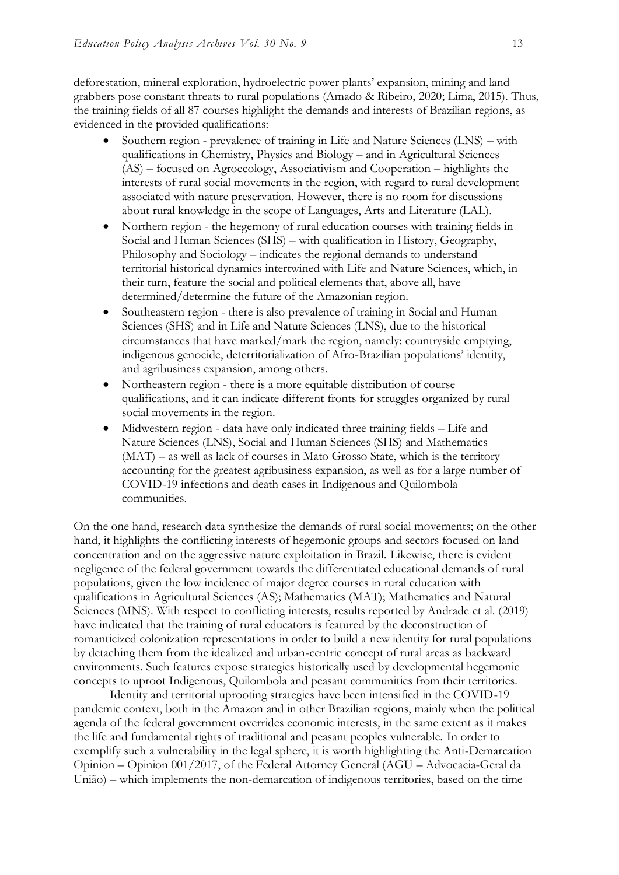deforestation, mineral exploration, hydroelectric power plants' expansion, mining and land grabbers pose constant threats to rural populations (Amado & Ribeiro, 2020; Lima, 2015). Thus, the training fields of all 87 courses highlight the demands and interests of Brazilian regions, as evidenced in the provided qualifications:

- Southern region prevalence of training in Life and Nature Sciences (LNS) with qualifications in Chemistry, Physics and Biology – and in Agricultural Sciences (AS) – focused on Agroecology, Associativism and Cooperation – highlights the interests of rural social movements in the region, with regard to rural development associated with nature preservation. However, there is no room for discussions about rural knowledge in the scope of Languages, Arts and Literature (LAL).
- Northern region the hegemony of rural education courses with training fields in Social and Human Sciences (SHS) – with qualification in History, Geography, Philosophy and Sociology – indicates the regional demands to understand territorial historical dynamics intertwined with Life and Nature Sciences, which, in their turn, feature the social and political elements that, above all, have determined/determine the future of the Amazonian region.
- Southeastern region there is also prevalence of training in Social and Human Sciences (SHS) and in Life and Nature Sciences (LNS), due to the historical circumstances that have marked/mark the region, namely: countryside emptying, indigenous genocide, deterritorialization of Afro-Brazilian populations' identity, and agribusiness expansion, among others.
- Northeastern region there is a more equitable distribution of course qualifications, and it can indicate different fronts for struggles organized by rural social movements in the region.
- Midwestern region data have only indicated three training fields Life and Nature Sciences (LNS), Social and Human Sciences (SHS) and Mathematics (MAT) – as well as lack of courses in Mato Grosso State, which is the territory accounting for the greatest agribusiness expansion, as well as for a large number of COVID-19 infections and death cases in Indigenous and Quilombola communities.

On the one hand, research data synthesize the demands of rural social movements; on the other hand, it highlights the conflicting interests of hegemonic groups and sectors focused on land concentration and on the aggressive nature exploitation in Brazil. Likewise, there is evident negligence of the federal government towards the differentiated educational demands of rural populations, given the low incidence of major degree courses in rural education with qualifications in Agricultural Sciences (AS); Mathematics (MAT); Mathematics and Natural Sciences (MNS). With respect to conflicting interests, results reported by Andrade et al. (2019) have indicated that the training of rural educators is featured by the deconstruction of romanticized colonization representations in order to build a new identity for rural populations by detaching them from the idealized and urban-centric concept of rural areas as backward environments. Such features expose strategies historically used by developmental hegemonic concepts to uproot Indigenous, Quilombola and peasant communities from their territories.

Identity and territorial uprooting strategies have been intensified in the COVID-19 pandemic context, both in the Amazon and in other Brazilian regions, mainly when the political agenda of the federal government overrides economic interests, in the same extent as it makes the life and fundamental rights of traditional and peasant peoples vulnerable. In order to exemplify such a vulnerability in the legal sphere, it is worth highlighting the Anti-Demarcation Opinion – Opinion 001/2017, of the Federal Attorney General (AGU – Advocacia-Geral da União) – which implements the non-demarcation of indigenous territories, based on the time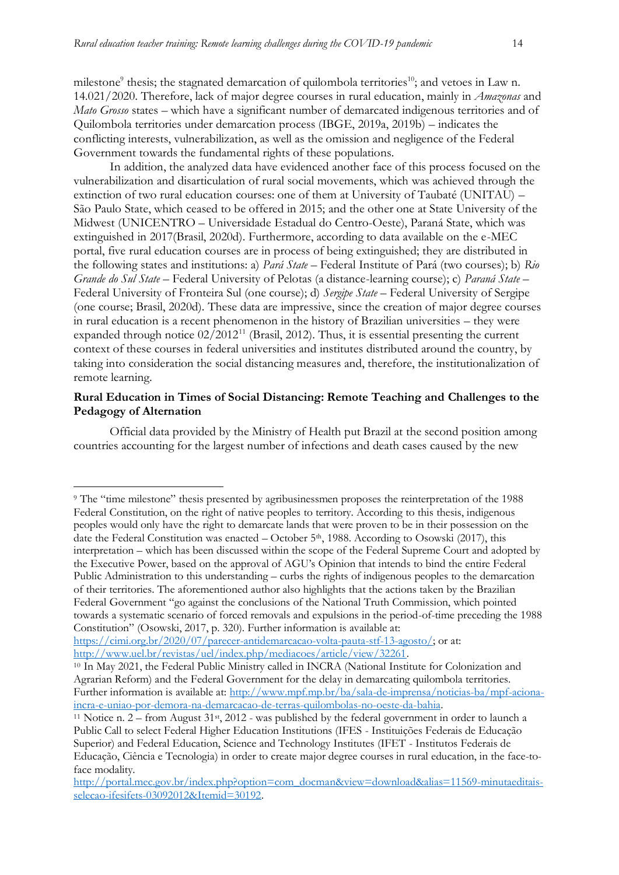milestone<sup>9</sup> thesis; the stagnated demarcation of quilombola territories<sup>10</sup>; and vetoes in Law n. 14.021/2020. Therefore, lack of major degree courses in rural education, mainly in *Amazonas* and *Mato Grosso* states – which have a significant number of demarcated indigenous territories and of Quilombola territories under demarcation process (IBGE, 2019a, 2019b) – indicates the conflicting interests, vulnerabilization, as well as the omission and negligence of the Federal Government towards the fundamental rights of these populations.

In addition, the analyzed data have evidenced another face of this process focused on the vulnerabilization and disarticulation of rural social movements, which was achieved through the extinction of two rural education courses: one of them at University of Taubaté (UNITAU) – São Paulo State, which ceased to be offered in 2015; and the other one at State University of the Midwest (UNICENTRO – Universidade Estadual do Centro-Oeste), Paraná State, which was extinguished in 2017(Brasil, 2020d). Furthermore, according to data available on the e-MEC portal, five rural education courses are in process of being extinguished; they are distributed in the following states and institutions: a) *Pará State* – Federal Institute of Pará (two courses); b) *Rio Grande do Sul State* – Federal University of Pelotas (a distance-learning course); c) *Paraná State* – Federal University of Fronteira Sul (one course); d) *Sergipe State* – Federal University of Sergipe (one course; Brasil, 2020d). These data are impressive, since the creation of major degree courses in rural education is a recent phenomenon in the history of Brazilian universities – they were expanded through notice  $02/2012^{11}$  (Brasil, 2012). Thus, it is essential presenting the current context of these courses in federal universities and institutes distributed around the country, by taking into consideration the social distancing measures and, therefore, the institutionalization of remote learning.

#### **Rural Education in Times of Social Distancing: Remote Teaching and Challenges to the Pedagogy of Alternation**

Official data provided by the Ministry of Health put Brazil at the second position among countries accounting for the largest number of infections and death cases caused by the new

[https://cimi.org.br/2020/07/parecer-antidemarcacao-volta-pauta-stf-13-agosto/;](https://cimi.org.br/2020/07/parecer-antidemarcacao-volta-pauta-stf-13-agosto/) or at: [http://www.uel.br/revistas/uel/index.php/mediacoes/article/view/32261.](http://www.uel.br/revistas/uel/index.php/mediacoes/article/view/32261)

<sup>9</sup> The "time milestone" thesis presented by agribusinessmen proposes the reinterpretation of the 1988 Federal Constitution, on the right of native peoples to territory. According to this thesis, indigenous peoples would only have the right to demarcate lands that were proven to be in their possession on the date the Federal Constitution was enacted – October 5<sup>th</sup>, 1988. According to Osowski (2017), this interpretation – which has been discussed within the scope of the Federal Supreme Court and adopted by the Executive Power, based on the approval of AGU's Opinion that intends to bind the entire Federal Public Administration to this understanding – curbs the rights of indigenous peoples to the demarcation of their territories. The aforementioned author also highlights that the actions taken by the Brazilian Federal Government "go against the conclusions of the National Truth Commission, which pointed towards a systematic scenario of forced removals and expulsions in the period-of-time preceding the 1988 Constitution" (Osowski, 2017, p. 320). Further information is available at:

<sup>10</sup> In May 2021, the Federal Public Ministry called in INCRA (National Institute for Colonization and Agrarian Reform) and the Federal Government for the delay in demarcating quilombola territories. Further information is available at: [http://www.mpf.mp.br/ba/sala-de-imprensa/noticias-ba/mpf-aciona](http://www.mpf.mp.br/ba/sala-de-imprensa/noticias-ba/mpf-aciona-incra-e-uniao-por-demora-na-demarcacao-de-terras-quilombolas-no-oeste-da-bahia)[incra-e-uniao-por-demora-na-demarcacao-de-terras-quilombolas-no-oeste-da-bahia.](http://www.mpf.mp.br/ba/sala-de-imprensa/noticias-ba/mpf-aciona-incra-e-uniao-por-demora-na-demarcacao-de-terras-quilombolas-no-oeste-da-bahia)

<sup>11</sup> Notice n. 2 – from August 31st, 2012 - was published by the federal government in order to launch a Public Call to select Federal Higher Education Institutions (IFES - Instituições Federais de Educação Superior) and Federal Education, Science and Technology Institutes (IFET - Institutos Federais de Educação, Ciência e Tecnologia) in order to create major degree courses in rural education, in the face-toface modality.

[http://portal.mec.gov.br/index.php?option=com\\_docman&view=download&alias=11569-minutaeditais](http://portal.mec.gov.br/index.php?option=com_docman&view=download&alias=11569-minutaeditais-selecao-ifesifets-03092012&Itemid=30192)[selecao-ifesifets-03092012&Itemid=30192.](http://portal.mec.gov.br/index.php?option=com_docman&view=download&alias=11569-minutaeditais-selecao-ifesifets-03092012&Itemid=30192)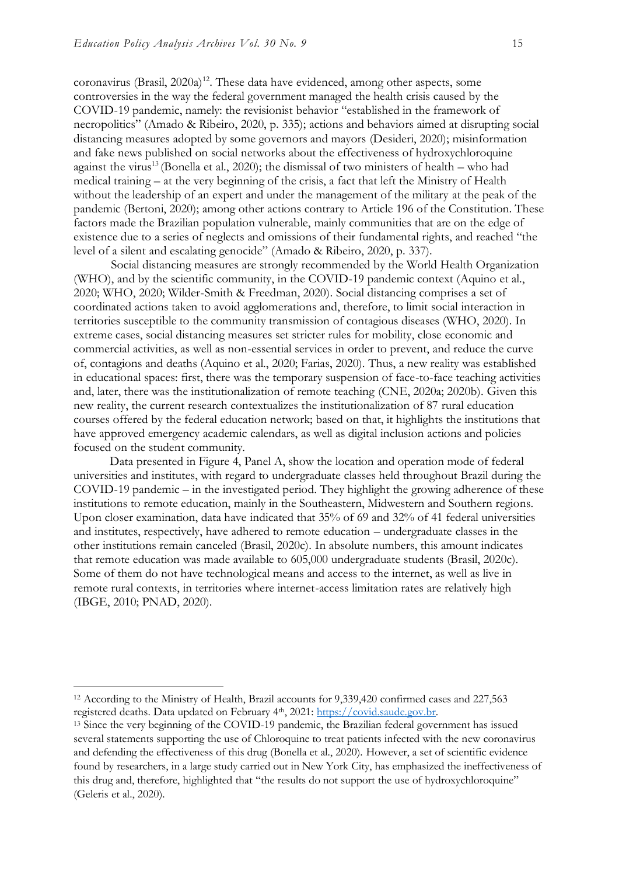coronavirus (Brasil,  $2020a$ <sup>12</sup>. These data have evidenced, among other aspects, some controversies in the way the federal government managed the health crisis caused by the COVID-19 pandemic, namely: the revisionist behavior "established in the framework of necropolitics" (Amado & Ribeiro, 2020, p. 335); actions and behaviors aimed at disrupting social distancing measures adopted by some governors and mayors (Desideri, 2020); misinformation and fake news published on social networks about the effectiveness of hydroxychloroquine against the virus<sup>13</sup> (Bonella et al., 2020); the dismissal of two ministers of health – who had medical training – at the very beginning of the crisis, a fact that left the Ministry of Health without the leadership of an expert and under the management of the military at the peak of the pandemic (Bertoni, 2020); among other actions contrary to Article 196 of the Constitution. These factors made the Brazilian population vulnerable, mainly communities that are on the edge of existence due to a series of neglects and omissions of their fundamental rights, and reached "the level of a silent and escalating genocide" (Amado & Ribeiro, 2020, p. 337).

Social distancing measures are strongly recommended by the World Health Organization (WHO), and by the scientific community, in the COVID-19 pandemic context (Aquino et al., 2020; WHO, 2020; Wilder-Smith & Freedman, 2020). Social distancing comprises a set of coordinated actions taken to avoid agglomerations and, therefore, to limit social interaction in territories susceptible to the community transmission of contagious diseases (WHO, 2020). In extreme cases, social distancing measures set stricter rules for mobility, close economic and commercial activities, as well as non-essential services in order to prevent, and reduce the curve of, contagions and deaths (Aquino et al., 2020; Farias, 2020). Thus, a new reality was established in educational spaces: first, there was the temporary suspension of face-to-face teaching activities and, later, there was the institutionalization of remote teaching (CNE, 2020a; 2020b). Given this new reality, the current research contextualizes the institutionalization of 87 rural education courses offered by the federal education network; based on that, it highlights the institutions that have approved emergency academic calendars, as well as digital inclusion actions and policies focused on the student community.

Data presented in Figure 4, Panel A, show the location and operation mode of federal universities and institutes, with regard to undergraduate classes held throughout Brazil during the COVID-19 pandemic – in the investigated period. They highlight the growing adherence of these institutions to remote education, mainly in the Southeastern, Midwestern and Southern regions. Upon closer examination, data have indicated that 35% of 69 and 32% of 41 federal universities and institutes, respectively, have adhered to remote education – undergraduate classes in the other institutions remain canceled (Brasil, 2020c). In absolute numbers, this amount indicates that remote education was made available to 605,000 undergraduate students (Brasil, 2020c). Some of them do not have technological means and access to the internet, as well as live in remote rural contexts, in territories where internet-access limitation rates are relatively high (IBGE, 2010; PNAD, 2020).

<sup>12</sup> According to the Ministry of Health, Brazil accounts for 9,339,420 confirmed cases and 227,563 registered deaths. Data updated on February 4th, 2021: [https://covid.saude.gov.br.](https://covid.saude.gov.br/)

<sup>13</sup> Since the very beginning of the COVID-19 pandemic, the Brazilian federal government has issued several statements supporting the use of Chloroquine to treat patients infected with the new coronavirus and defending the effectiveness of this drug (Bonella et al., 2020). However, a set of scientific evidence found by researchers, in a large study carried out in New York City, has emphasized the ineffectiveness of this drug and, therefore, highlighted that "the results do not support the use of hydroxychloroquine" (Geleris et al., 2020).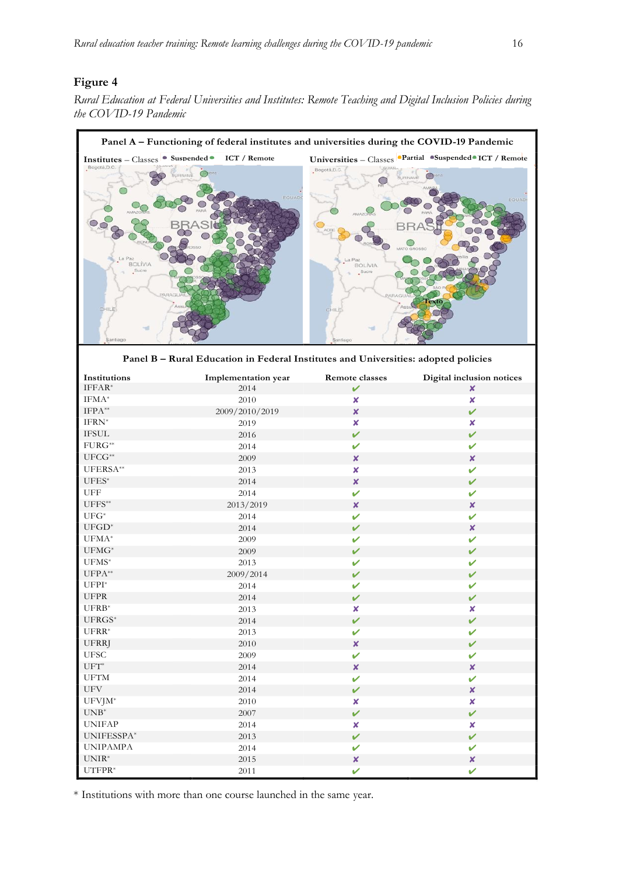#### **Figure 4**



**Panel B – Rural Education in Federal Institutes and Universities: adopted policies**

| the COVID-19 Pandemic                                                      |                                                                                           |                                        |                                                                                   |
|----------------------------------------------------------------------------|-------------------------------------------------------------------------------------------|----------------------------------------|-----------------------------------------------------------------------------------|
|                                                                            | Panel A – Functioning of federal institutes and universities during the COVID-19 Pandemic |                                        |                                                                                   |
| Institutes - Classes • Suspended •<br>Bogotá, D.C<br>Paz<br><b>BOLÍVIA</b> | <b>ICT</b> / Remote<br>RINAME                                                             | Bogotá, D.C<br>a Paz<br><b>BOLÍVIA</b> | Universities - Classes Partial Suspended ICT / Remote<br><b>SURINAME</b><br>EQUAD |
| Sucre<br>CHILE<br>Santiago                                                 | Panel B - Rural Education in Federal Institutes and Universities: adopted policies        | Sucre<br>CHILE<br>Santiago             | l'exto                                                                            |
| Institutions                                                               | Implementation year                                                                       | Remote classes                         | Digital inclusion notices                                                         |
| $IFFAR*$                                                                   | 2014                                                                                      | ✓                                      | ×                                                                                 |
| $IFMA^*$                                                                   | 2010                                                                                      | ×                                      | ×                                                                                 |
| $IFPA**$                                                                   | 2009/2010/2019                                                                            | ×                                      | ✓                                                                                 |
| IFRN*                                                                      | 2019                                                                                      | x                                      | x                                                                                 |
| <b>IFSUL</b>                                                               | 2016                                                                                      | v                                      | ✓                                                                                 |
| $FURG^{**}$                                                                | 2014                                                                                      | ✓                                      | ✓                                                                                 |
| $UFCG^{**}$                                                                | 2009                                                                                      | ×                                      | x                                                                                 |
| UFERSA**                                                                   | 2013                                                                                      | x                                      | $\mathbf v$                                                                       |
| $UFES^*$                                                                   | 2014                                                                                      | ×                                      | ✔                                                                                 |
| UFF                                                                        | 2014                                                                                      | ✓                                      | ✓                                                                                 |
| $UFFS^{**}$                                                                |                                                                                           |                                        |                                                                                   |
|                                                                            | 2013/2019                                                                                 | x                                      | ×                                                                                 |
| $UFG^*$                                                                    | 2014                                                                                      | ✓                                      | ✓                                                                                 |
| $UFGD^*$                                                                   | 2014                                                                                      |                                        | x                                                                                 |
| UFMA*                                                                      | 2009                                                                                      | ✓                                      | ✓                                                                                 |
| $UFMG^*$                                                                   | 2009                                                                                      | ✓                                      | V                                                                                 |
| $UFMS^*$                                                                   | 2013                                                                                      | V                                      | V                                                                                 |
| $\ensuremath{\mathsf{U}\mathsf{FPA}^{**}}$                                 | 2009/2014                                                                                 | V                                      | $\mathbf{v}$                                                                      |
| $\ensuremath{\mathrm{UFPI}^*}\xspace$                                      | 2014                                                                                      | V                                      | ✓                                                                                 |
| UFPR                                                                       | 2014                                                                                      | V                                      | V                                                                                 |
| $UFRB*$                                                                    | 2013                                                                                      | ×                                      | X.                                                                                |
| $UFRGS^{\ast}$                                                             | 2014                                                                                      | $\mathbf v$                            | ✓                                                                                 |
| $UFRR*$                                                                    | 2013                                                                                      | ✓                                      | ✓                                                                                 |
| <b>UFRRJ</b>                                                               | 2010                                                                                      | $\boldsymbol{x}$                       | $\mathbf v$                                                                       |
| <b>UFSC</b>                                                                | 2009                                                                                      | V                                      | ✓                                                                                 |
| $\mathrm{UFT}^*$                                                           | 2014                                                                                      | $\boldsymbol{x}$                       | ×                                                                                 |
| $\rm UFTM$                                                                 | 2014                                                                                      | ✓                                      | ✓                                                                                 |
| $\ensuremath{\mathrm{U}}\ensuremath{\mathrm{F}}\ensuremath{\mathrm{V}}$    | 2014                                                                                      | ✓                                      | ×                                                                                 |
| $UFVJM^*$                                                                  | 2010                                                                                      | ×                                      | ×.                                                                                |
| $\ensuremath{\mathrm{UNB}^*}\xspace$                                       | 2007                                                                                      | ✓                                      | $\checkmark$                                                                      |
| <b>UNIFAP</b>                                                              | 2014                                                                                      | $\pmb{\times}$                         | $\boldsymbol{x}$                                                                  |
| UNIFESSPA*                                                                 | 2013                                                                                      | $\checkmark$                           | $\mathbf v$                                                                       |
| <b>UNIPAMPA</b>                                                            | 2014                                                                                      | ✓                                      | ✓                                                                                 |
| $\ensuremath{\mathrm{UNIR}^{\ast}}\xspace$                                 | 2015                                                                                      | $\boldsymbol{x}$                       | ×                                                                                 |
| $UTFPR*$                                                                   | 2011                                                                                      | ✓                                      | ✓                                                                                 |
|                                                                            |                                                                                           |                                        |                                                                                   |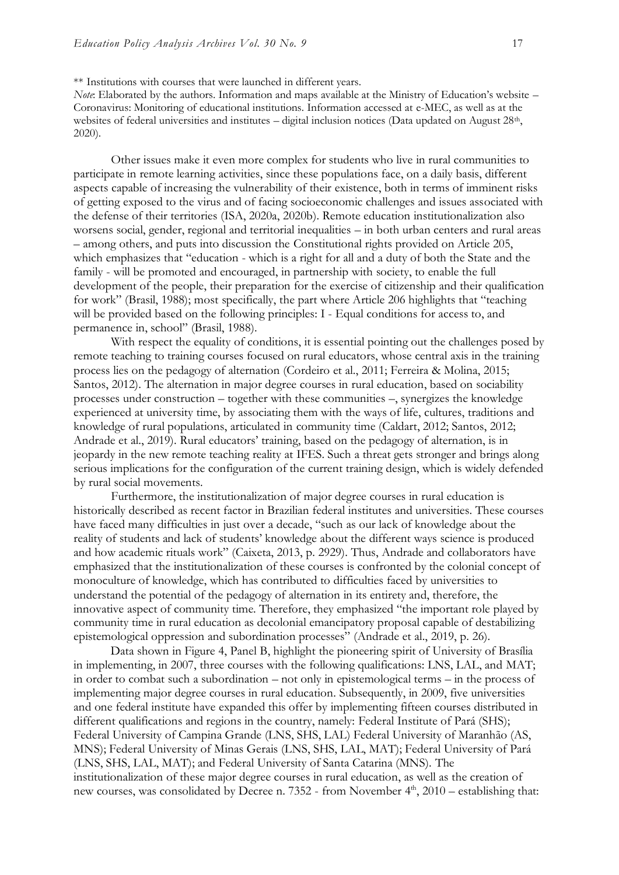\*\* Institutions with courses that were launched in different years.

*Note*: Elaborated by the authors. Information and maps available at the Ministry of Education's website – Coronavirus: Monitoring of educational institutions. Information accessed at e-MEC, as well as at the websites of federal universities and institutes – digital inclusion notices (Data updated on August 28th, 2020).

Other issues make it even more complex for students who live in rural communities to participate in remote learning activities, since these populations face, on a daily basis, different aspects capable of increasing the vulnerability of their existence, both in terms of imminent risks of getting exposed to the virus and of facing socioeconomic challenges and issues associated with the defense of their territories (ISA, 2020a, 2020b). Remote education institutionalization also worsens social, gender, regional and territorial inequalities – in both urban centers and rural areas – among others, and puts into discussion the Constitutional rights provided on Article 205, which emphasizes that "education - which is a right for all and a duty of both the State and the family - will be promoted and encouraged, in partnership with society, to enable the full development of the people, their preparation for the exercise of citizenship and their qualification for work" (Brasil, 1988); most specifically, the part where Article 206 highlights that "teaching will be provided based on the following principles: I - Equal conditions for access to, and permanence in, school" (Brasil, 1988).

With respect the equality of conditions, it is essential pointing out the challenges posed by remote teaching to training courses focused on rural educators, whose central axis in the training process lies on the pedagogy of alternation (Cordeiro et al., 2011; Ferreira & Molina, 2015; Santos, 2012). The alternation in major degree courses in rural education, based on sociability processes under construction – together with these communities –, synergizes the knowledge experienced at university time, by associating them with the ways of life, cultures, traditions and knowledge of rural populations, articulated in community time (Caldart, 2012; Santos, 2012; Andrade et al., 2019). Rural educators' training, based on the pedagogy of alternation, is in jeopardy in the new remote teaching reality at IFES. Such a threat gets stronger and brings along serious implications for the configuration of the current training design, which is widely defended by rural social movements.

Furthermore, the institutionalization of major degree courses in rural education is historically described as recent factor in Brazilian federal institutes and universities. These courses have faced many difficulties in just over a decade, "such as our lack of knowledge about the reality of students and lack of students' knowledge about the different ways science is produced and how academic rituals work" (Caixeta, 2013, p. 2929). Thus, Andrade and collaborators have emphasized that the institutionalization of these courses is confronted by the colonial concept of monoculture of knowledge, which has contributed to difficulties faced by universities to understand the potential of the pedagogy of alternation in its entirety and, therefore, the innovative aspect of community time. Therefore, they emphasized "the important role played by community time in rural education as decolonial emancipatory proposal capable of destabilizing epistemological oppression and subordination processes" (Andrade et al., 2019, p. 26).

Data shown in Figure 4, Panel B, highlight the pioneering spirit of University of Brasília in implementing, in 2007, three courses with the following qualifications: LNS, LAL, and MAT; in order to combat such a subordination – not only in epistemological terms – in the process of implementing major degree courses in rural education. Subsequently, in 2009, five universities and one federal institute have expanded this offer by implementing fifteen courses distributed in different qualifications and regions in the country, namely: Federal Institute of Pará (SHS); Federal University of Campina Grande (LNS, SHS, LAL) Federal University of Maranhão (AS, MNS); Federal University of Minas Gerais (LNS, SHS, LAL, MAT); Federal University of Pará (LNS, SHS, LAL, MAT); and Federal University of Santa Catarina (MNS). The institutionalization of these major degree courses in rural education, as well as the creation of new courses, was consolidated by Decree n. 7352 - from November  $4<sup>th</sup>$ , 2010 – establishing that: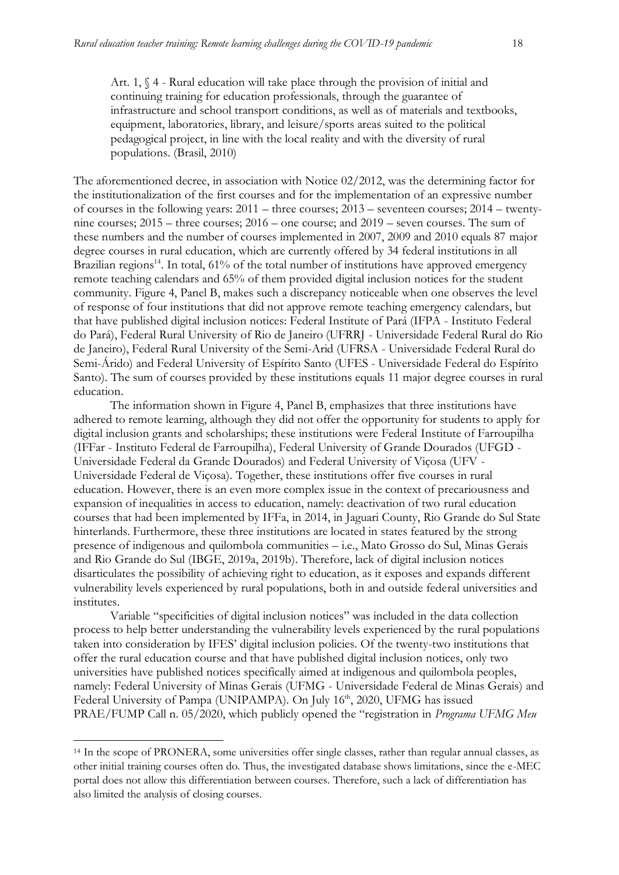Art. 1, § 4 - Rural education will take place through the provision of initial and continuing training for education professionals, through the guarantee of infrastructure and school transport conditions, as well as of materials and textbooks, equipment, laboratories, library, and leisure/sports areas suited to the political pedagogical project, in line with the local reality and with the diversity of rural populations. (Brasil, 2010)

The aforementioned decree, in association with Notice 02/2012, was the determining factor for the institutionalization of the first courses and for the implementation of an expressive number of courses in the following years:  $2011$  – three courses;  $2013$  – seventeen courses;  $2014$  – twentynine courses; 2015 – three courses; 2016 – one course; and 2019 – seven courses. The sum of these numbers and the number of courses implemented in 2007, 2009 and 2010 equals 87 major degree courses in rural education, which are currently offered by 34 federal institutions in all Brazilian regions<sup>14</sup>. In total,  $61\%$  of the total number of institutions have approved emergency remote teaching calendars and 65% of them provided digital inclusion notices for the student community. Figure 4, Panel B, makes such a discrepancy noticeable when one observes the level of response of four institutions that did not approve remote teaching emergency calendars, but that have published digital inclusion notices: Federal Institute of Pará (IFPA - Instituto Federal do Pará), Federal Rural University of Rio de Janeiro (UFRRJ - Universidade Federal Rural do Rio de Janeiro), Federal Rural University of the Semi-Arid (UFRSA - Universidade Federal Rural do Semi-Árido) and Federal University of Espírito Santo (UFES - Universidade Federal do Espírito Santo). The sum of courses provided by these institutions equals 11 major degree courses in rural education.

The information shown in Figure 4, Panel B, emphasizes that three institutions have adhered to remote learning, although they did not offer the opportunity for students to apply for digital inclusion grants and scholarships; these institutions were Federal Institute of Farroupilha (IFFar - Instituto Federal de Farroupilha), Federal University of Grande Dourados (UFGD - Universidade Federal da Grande Dourados) and Federal University of Viçosa (UFV - Universidade Federal de Viçosa). Together, these institutions offer five courses in rural education. However, there is an even more complex issue in the context of precariousness and expansion of inequalities in access to education, namely: deactivation of two rural education courses that had been implemented by IFFa, in 2014, in Jaguari County, Rio Grande do Sul State hinterlands. Furthermore, these three institutions are located in states featured by the strong presence of indigenous and quilombola communities – i.e., Mato Grosso do Sul, Minas Gerais and Rio Grande do Sul (IBGE, 2019a, 2019b). Therefore, lack of digital inclusion notices disarticulates the possibility of achieving right to education, as it exposes and expands different vulnerability levels experienced by rural populations, both in and outside federal universities and institutes.

Variable "specificities of digital inclusion notices" was included in the data collection process to help better understanding the vulnerability levels experienced by the rural populations taken into consideration by IFES' digital inclusion policies. Of the twenty-two institutions that offer the rural education course and that have published digital inclusion notices, only two universities have published notices specifically aimed at indigenous and quilombola peoples, namely: Federal University of Minas Gerais (UFMG - Universidade Federal de Minas Gerais) and Federal University of Pampa (UNIPAMPA). On July 16<sup>th</sup>, 2020, UFMG has issued PRAE/FUMP Call n. 05/2020, which publicly opened the "registration in *Programa UFMG Meu* 

<sup>14</sup> In the scope of PRONERA, some universities offer single classes, rather than regular annual classes, as other initial training courses often do. Thus, the investigated database shows limitations, since the e-MEC portal does not allow this differentiation between courses. Therefore, such a lack of differentiation has also limited the analysis of closing courses.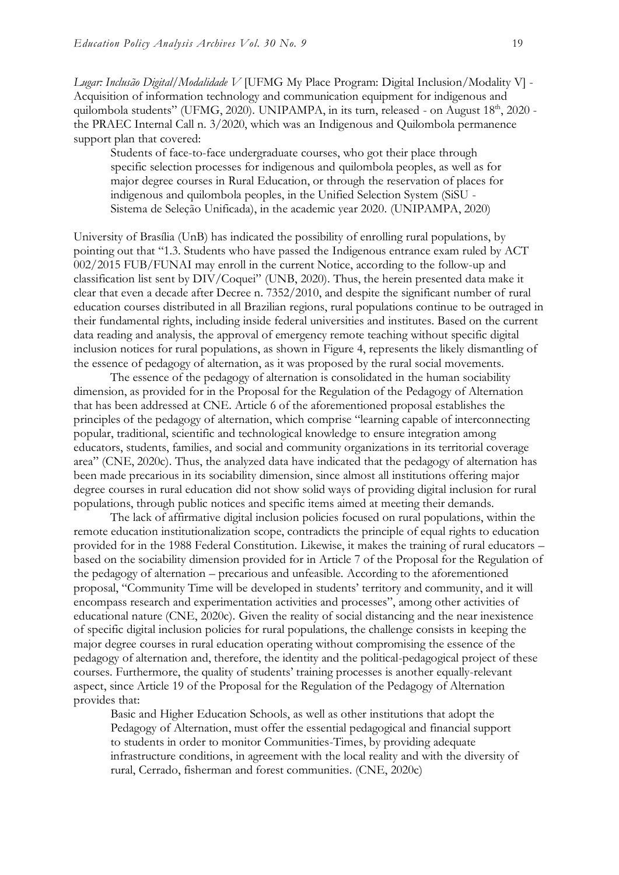*Lugar: Inclusão Digital/Modalidade V* [UFMG My Place Program: Digital Inclusion/Modality V] - Acquisition of information technology and communication equipment for indigenous and quilombola students" (UFMG, 2020). UNIPAMPA, in its turn, released - on August 18<sup>th</sup>, 2020 the PRAEC Internal Call n. 3/2020, which was an Indigenous and Quilombola permanence support plan that covered:

Students of face-to-face undergraduate courses, who got their place through specific selection processes for indigenous and quilombola peoples, as well as for major degree courses in Rural Education, or through the reservation of places for indigenous and quilombola peoples, in the Unified Selection System (SiSU - Sistema de Seleção Unificada), in the academic year 2020. (UNIPAMPA, 2020)

University of Brasília (UnB) has indicated the possibility of enrolling rural populations, by pointing out that "1.3. Students who have passed the Indigenous entrance exam ruled by ACT 002/2015 FUB/FUNAI may enroll in the current Notice, according to the follow-up and classification list sent by DIV/Coquei" (UNB, 2020). Thus, the herein presented data make it clear that even a decade after Decree n. 7352/2010, and despite the significant number of rural education courses distributed in all Brazilian regions, rural populations continue to be outraged in their fundamental rights, including inside federal universities and institutes. Based on the current data reading and analysis, the approval of emergency remote teaching without specific digital inclusion notices for rural populations, as shown in Figure 4, represents the likely dismantling of the essence of pedagogy of alternation, as it was proposed by the rural social movements.

The essence of the pedagogy of alternation is consolidated in the human sociability dimension, as provided for in the Proposal for the Regulation of the Pedagogy of Alternation that has been addressed at CNE. Article 6 of the aforementioned proposal establishes the principles of the pedagogy of alternation, which comprise "learning capable of interconnecting popular, traditional, scientific and technological knowledge to ensure integration among educators, students, families, and social and community organizations in its territorial coverage area" (CNE, 2020c). Thus, the analyzed data have indicated that the pedagogy of alternation has been made precarious in its sociability dimension, since almost all institutions offering major degree courses in rural education did not show solid ways of providing digital inclusion for rural populations, through public notices and specific items aimed at meeting their demands.

The lack of affirmative digital inclusion policies focused on rural populations, within the remote education institutionalization scope, contradicts the principle of equal rights to education provided for in the 1988 Federal Constitution. Likewise, it makes the training of rural educators – based on the sociability dimension provided for in Article 7 of the Proposal for the Regulation of the pedagogy of alternation – precarious and unfeasible. According to the aforementioned proposal, "Community Time will be developed in students' territory and community, and it will encompass research and experimentation activities and processes", among other activities of educational nature (CNE, 2020c). Given the reality of social distancing and the near inexistence of specific digital inclusion policies for rural populations, the challenge consists in keeping the major degree courses in rural education operating without compromising the essence of the pedagogy of alternation and, therefore, the identity and the political-pedagogical project of these courses. Furthermore, the quality of students' training processes is another equally-relevant aspect, since Article 19 of the Proposal for the Regulation of the Pedagogy of Alternation provides that:

Basic and Higher Education Schools, as well as other institutions that adopt the Pedagogy of Alternation, must offer the essential pedagogical and financial support to students in order to monitor Communities-Times, by providing adequate infrastructure conditions, in agreement with the local reality and with the diversity of rural, Cerrado, fisherman and forest communities. (CNE, 2020c)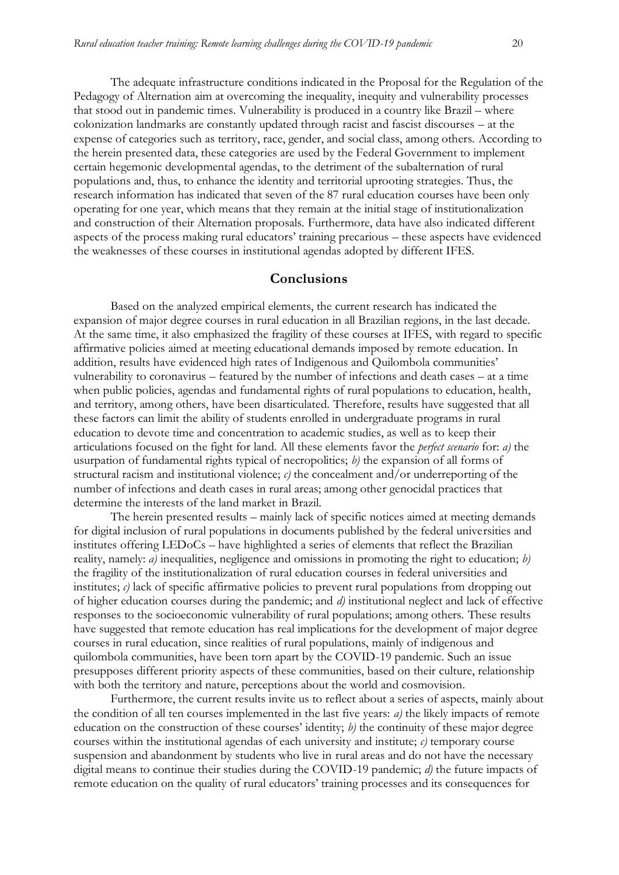Pedagogy of Alternation aim at overcoming the inequality, inequity and vulnerability processes that stood out in pandemic times. Vulnerability is produced in a country like Brazil – where colonization landmarks are constantly updated through racist and fascist discourses – at the expense of categories such as territory, race, gender, and social class, among others. According to the herein presented data, these categories are used by the Federal Government to implement certain hegemonic developmental agendas, to the detriment of the subalternation of rural populations and, thus, to enhance the identity and territorial uprooting strategies. Thus, the research information has indicated that seven of the 87 rural education courses have been only operating for one year, which means that they remain at the initial stage of institutionalization and construction of their Alternation proposals. Furthermore, data have also indicated different aspects of the process making rural educators' training precarious – these aspects have evidenced the weaknesses of these courses in institutional agendas adopted by different IFES.

#### **Conclusions**

Based on the analyzed empirical elements, the current research has indicated the expansion of major degree courses in rural education in all Brazilian regions, in the last decade. At the same time, it also emphasized the fragility of these courses at IFES, with regard to specific affirmative policies aimed at meeting educational demands imposed by remote education. In addition, results have evidenced high rates of Indigenous and Quilombola communities' vulnerability to coronavirus – featured by the number of infections and death cases – at a time when public policies, agendas and fundamental rights of rural populations to education, health, and territory, among others, have been disarticulated. Therefore, results have suggested that all these factors can limit the ability of students enrolled in undergraduate programs in rural education to devote time and concentration to academic studies, as well as to keep their articulations focused on the fight for land. All these elements favor the *perfect scenario* for: *a)* the usurpation of fundamental rights typical of necropolitics; *b)* the expansion of all forms of structural racism and institutional violence;  $c$ ) the concealment and/or underreporting of the number of infections and death cases in rural areas; among other genocidal practices that determine the interests of the land market in Brazil.

The herein presented results – mainly lack of specific notices aimed at meeting demands for digital inclusion of rural populations in documents published by the federal universities and institutes offering LEDoCs – have highlighted a series of elements that reflect the Brazilian reality, namely: *a)* inequalities, negligence and omissions in promoting the right to education; *b)* the fragility of the institutionalization of rural education courses in federal universities and institutes;  $c$ ) lack of specific affirmative policies to prevent rural populations from dropping out of higher education courses during the pandemic; and *d)* institutional neglect and lack of effective responses to the socioeconomic vulnerability of rural populations; among others. These results have suggested that remote education has real implications for the development of major degree courses in rural education, since realities of rural populations, mainly of indigenous and quilombola communities, have been torn apart by the COVID-19 pandemic. Such an issue presupposes different priority aspects of these communities, based on their culture, relationship with both the territory and nature, perceptions about the world and cosmovision.

Furthermore, the current results invite us to reflect about a series of aspects, mainly about the condition of all ten courses implemented in the last five years: *a)* the likely impacts of remote education on the construction of these courses' identity; *b)* the continuity of these major degree courses within the institutional agendas of each university and institute; *c)* temporary course suspension and abandonment by students who live in rural areas and do not have the necessary digital means to continue their studies during the COVID-19 pandemic; *d)* the future impacts of remote education on the quality of rural educators' training processes and its consequences for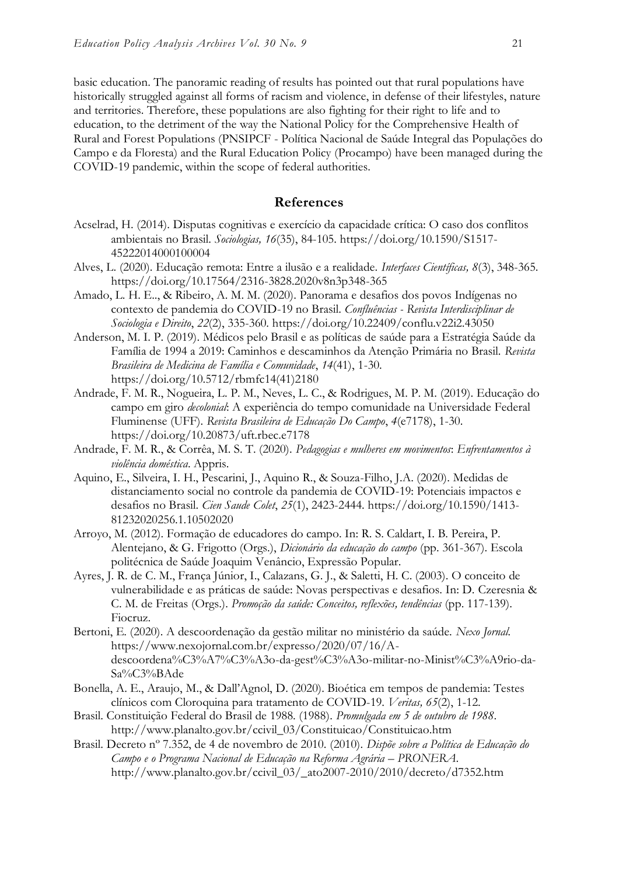basic education. The panoramic reading of results has pointed out that rural populations have historically struggled against all forms of racism and violence, in defense of their lifestyles, nature and territories. Therefore, these populations are also fighting for their right to life and to education, to the detriment of the way the National Policy for the Comprehensive Health of Rural and Forest Populations (PNSIPCF - Política Nacional de Saúde Integral das Populações do Campo e da Floresta) and the Rural Education Policy (Procampo) have been managed during the COVID-19 pandemic, within the scope of federal authorities.

#### **References**

- Acselrad, H. (2014). Disputas cognitivas e exercício da capacidade crítica: O caso dos conflitos ambientais no Brasil. *Sociologias, 16*(35), 84-105. [https://doi.org/10.1590/S1517-](https://doi.org/10.1590/S1517-45222014000100004) [45222014000100004](https://doi.org/10.1590/S1517-45222014000100004)
- Alves, L. (2020). Educação remota: Entre a ilusão e a realidade. *Interfaces Científicas, 8*(3), 348-365. https://doi.org/10.17564/2316-3828.2020v8n3p348-365
- Amado, L. H. E.., & Ribeiro, A. M. M. (2020). Panorama e desafios dos povos Indígenas no contexto de pandemia do COVID-19 no Brasil. *Confluências - Revista Interdisciplinar de Sociologia e Direito*, *22*(2), 335-360. https://doi.org/10.22409/conflu.v22i2.43050
- Anderson, M. I. P. (2019). Médicos pelo Brasil e as políticas de saúde para a Estratégia Saúde da Família de 1994 a 2019: Caminhos e descaminhos da Atenção Primária no Brasil. *Revista Brasileira de Medicina de Família e Comunidade*, *14*(41), 1-30. https://doi.org/10.5712/rbmfc14(41)2180
- Andrade, F. M. R., Nogueira, L. P. M., Neves, L. C., & Rodrigues, M. P. M. (2019). Educação do campo em giro *decolonial*: A experiência do tempo comunidade na Universidade Federal Fluminense (UFF). *Revista Brasileira de Educação Do Campo*, *4*(e7178), 1-30. https://doi.org/10.20873/uft.rbec.e7178
- Andrade, F. M. R., & Corrêa, M. S. T. (2020). *Pedagogias e mulheres em movimentos*: *Enfrentamentos à violência doméstica*. Appris.
- Aquino, E., Silveira, I. H., Pescarini, J., Aquino R., & Souza-Filho, J.A. (2020). Medidas de distanciamento social no controle da pandemia de COVID-19: Potenciais impactos e desafios no Brasil. *Cien Saude Colet*, *25*(1), 2423-2444. https://doi.org/10.1590/1413- 81232020256.1.10502020
- Arroyo, M. (2012). Formação de educadores do campo. In: R. S. Caldart, I. B. Pereira, P. Alentejano, & G. Frigotto (Orgs.), *Dicionário da educação do campo* (pp. 361-367). Escola politécnica de Saúde Joaquim Venâncio, Expressão Popular.
- Ayres, J. R. de C. M., França Júnior, I., Calazans, G. J., & Saletti, H. C. (2003). O conceito de vulnerabilidade e as práticas de saúde: Novas perspectivas e desafios. In: D. Czeresnia & C. M. de Freitas (Orgs.). *Promoção da saúde: Conceitos, reflexões, tendências* (pp. 117-139). Fiocruz.
- Bertoni, E. (2020). A descoordenação da gestão militar no ministério da saúde. *Nexo Jornal.* [https://www.nexojornal.com.br/expresso/2020/07/16/A](https://www.nexojornal.com.br/expresso/2020/07/16/A-descoordena%C3%A7%C3%A3o-da-gest%C3%A3o-militar-no-Minist%C3%A9rio-da-Sa%C3%BAde)[descoordena%C3%A7%C3%A3o-da-gest%C3%A3o-militar-no-Minist%C3%A9rio-da-](https://www.nexojornal.com.br/expresso/2020/07/16/A-descoordena%C3%A7%C3%A3o-da-gest%C3%A3o-militar-no-Minist%C3%A9rio-da-Sa%C3%BAde)[Sa%C3%BAde](https://www.nexojornal.com.br/expresso/2020/07/16/A-descoordena%C3%A7%C3%A3o-da-gest%C3%A3o-militar-no-Minist%C3%A9rio-da-Sa%C3%BAde)
- Bonella, A. E., Araujo, M., & Dall'Agnol, D. (2020). Bioética em tempos de pandemia: Testes clínicos com Cloroquina para tratamento de COVID-19. *Veritas, 65*(2), 1-12.
- Brasil. Constituição Federal do Brasil de 1988. (1988). *Promulgada em 5 de outubro de 1988*. [http://www.planalto.gov.br/ccivil\\_03/Constituicao/Constituicao.htm](http://www.planalto.gov.br/ccivil_03/Constituicao/Constituicao.htm)
- Brasil. Decreto nº 7.352, de 4 de novembro de 2010. (2010). *Dispõe sobre a Política de Educação do Campo e o Programa Nacional de Educação na Reforma Agrária – PRONERA*. [http://www.planalto.gov.br/ccivil\\_03/\\_ato2007-2010/2010/decreto/d7352.htm](http://www.planalto.gov.br/ccivil_03/_ato2007-2010/2010/decreto/d7352.htm)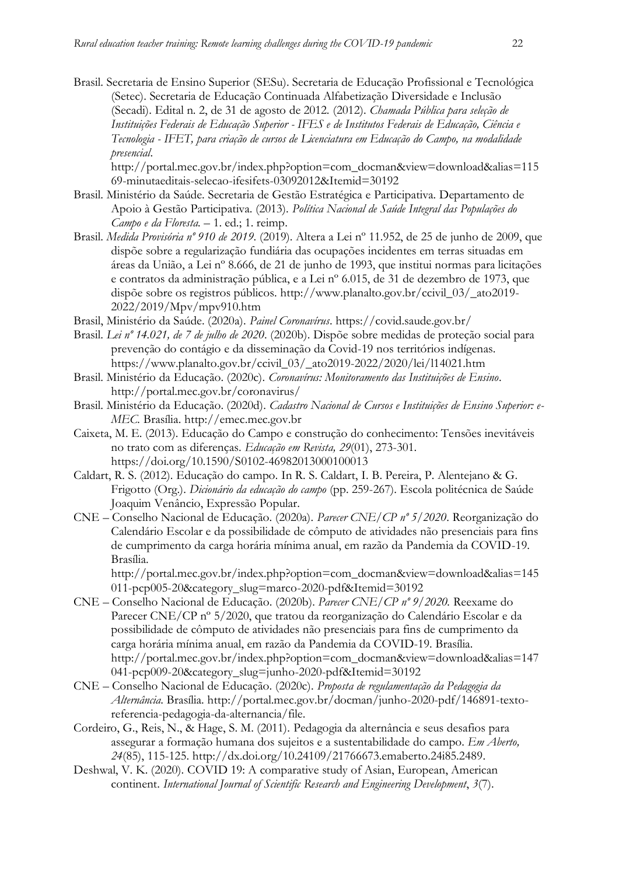Brasil. Secretaria de Ensino Superior (SESu). Secretaria de Educação Profissional e Tecnológica (Setec). Secretaria de Educação Continuada Alfabetização Diversidade e Inclusão (Secadi). Edital n. 2, de 31 de agosto de 2012. (2012). *Chamada Pública para seleção de Instituições Federais de Educação Superior - IFES e de Institutos Federais de Educação, Ciência e Tecnologia - IFET, para criação de cursos de Licenciatura em Educação do Campo, na modalidade presencial*.

[http://portal.mec.gov.br/index.php?option=com\\_docman&view=download&alias=115](http://portal.mec.gov.br/index.php?option=com_docman&view=download&alias=11569-minutaeditais-selecao-ifesifets-03092012&Itemid=30192) [69-minutaeditais-selecao-ifesifets-03092012&Itemid=30192](http://portal.mec.gov.br/index.php?option=com_docman&view=download&alias=11569-minutaeditais-selecao-ifesifets-03092012&Itemid=30192)

- Brasil. Ministério da Saúde. Secretaria de Gestão Estratégica e Participativa. Departamento de Apoio à Gestão Participativa. (2013). *Política Nacional de Saúde Integral das Populações do Campo e da Floresta.* – 1. ed.; 1. reimp.
- Brasil. *Medida Provisória nº 910 de 2019*. (2019). Altera a Lei nº 11.952, de 25 de junho de 2009, que dispõe sobre a regularização fundiária das ocupações incidentes em terras situadas em áreas da União, a Lei nº 8.666, de 21 de junho de 1993, que institui normas para licitações e contratos da administração pública, e a Lei nº 6.015, de 31 de dezembro de 1973, que dispõe sobre os registros públicos. [http://www.planalto.gov.br/ccivil\\_03/\\_ato2019-](http://www.planalto.gov.br/ccivil_03/_ato2019-2022/2019/Mpv/mpv910.htm) [2022/2019/Mpv/mpv910.htm](http://www.planalto.gov.br/ccivil_03/_ato2019-2022/2019/Mpv/mpv910.htm)
- Brasil, Ministério da Saúde. (2020a). *Painel Coronavírus*.<https://covid.saude.gov.br/>
- Brasil. *Lei nº 14.021, de 7 de julho de 2020*. (2020b). Dispõe sobre medidas de proteção social para prevenção do contágio e da disseminação da Covid-19 nos territórios indígenas. [https://www.planalto.gov.br/ccivil\\_03/\\_ato2019-2022/2020/lei/l14021.htm](https://www.planalto.gov.br/ccivil_03/_ato2019-2022/2020/lei/l14021.htm)
- Brasil. Ministério da Educação. (2020c). *Coronavírus: Monitoramento das Instituições de Ensino*. <http://portal.mec.gov.br/coronavirus/>
- Brasil. Ministério da Educação. (2020d). *Cadastro Nacional de Cursos e Instituições de Ensino Superior: e-MEC.* Brasília. [http://emec.mec.gov.br](http://emec.mec.gov.br/)
- Caixeta, M. E. (2013). Educação do Campo e construção do conhecimento: Tensões inevitáveis no trato com as diferenças. *Educação em Revista, 29*(01), 273-301. https://doi.org/10.1590/S0102-46982013000100013
- Caldart, R. S. (2012). Educação do campo*.* In R. S. Caldart, I. B. Pereira, P. Alentejano & G. Frigotto (Org.). *Dicionário da educação do campo* (pp. 259-267). Escola politécnica de Saúde Joaquim Venâncio, Expressão Popular.
- CNE Conselho Nacional de Educação. (2020a). *Parecer CNE/CP nº 5/2020*. Reorganização do Calendário Escolar e da possibilidade de cômputo de atividades não presenciais para fins de cumprimento da carga horária mínima anual, em razão da Pandemia da COVID-19. Brasília.

[http://portal.mec.gov.br/index.php?option=com\\_docman&view=download&alias=145](http://portal.mec.gov.br/index.php?option=com_docman&view=download&alias=145011-pcp005-20&category_slug=marco-2020-pdf&Itemid=30192) [011-pcp005-20&category\\_slug=marco-2020-pdf&Itemid=30192](http://portal.mec.gov.br/index.php?option=com_docman&view=download&alias=145011-pcp005-20&category_slug=marco-2020-pdf&Itemid=30192)

- CNE Conselho Nacional de Educação. (2020b). *Parecer CNE/CP nº 9/2020.* Reexame do Parecer CNE/CP nº 5/2020, que tratou da reorganização do Calendário Escolar e da possibilidade de cômputo de atividades não presenciais para fins de cumprimento da carga horária mínima anual, em razão da Pandemia da COVID-19. Brasília. [http://portal.mec.gov.br/index.php?option=com\\_docman&view=download&alias=147](http://portal.mec.gov.br/index.php?option=com_docman&view=download&alias=147041-pcp009-20&category_slug=junho-2020-pdf&Itemid=30192) [041-pcp009-20&category\\_slug=junho-2020-pdf&Itemid=30192](http://portal.mec.gov.br/index.php?option=com_docman&view=download&alias=147041-pcp009-20&category_slug=junho-2020-pdf&Itemid=30192)
- CNE Conselho Nacional de Educação. (2020c). *Proposta de regulamentação da Pedagogia da Alternância*. Brasília. [http://portal.mec.gov.br/docman/junho-2020-pdf/146891-texto](http://portal.mec.gov.br/docman/junho-2020-pdf/146891-texto-referencia-pedagogia-da-alternancia/file)[referencia-pedagogia-da-alternancia/file.](http://portal.mec.gov.br/docman/junho-2020-pdf/146891-texto-referencia-pedagogia-da-alternancia/file)
- Cordeiro, G., Reis, N., & Hage, S. M. (2011). Pedagogia da alternância e seus desafios para assegurar a formação humana dos sujeitos e a sustentabilidade do campo. *Em Aberto, 24*(85), 115-125. http://dx.doi.org/10.24109/21766673.emaberto.24i85.2489.
- Deshwal, V. K. (2020). COVID 19: A comparative study of Asian, European, American continent. *International Journal of Scientific Research and Engineering Development*, *3*(7).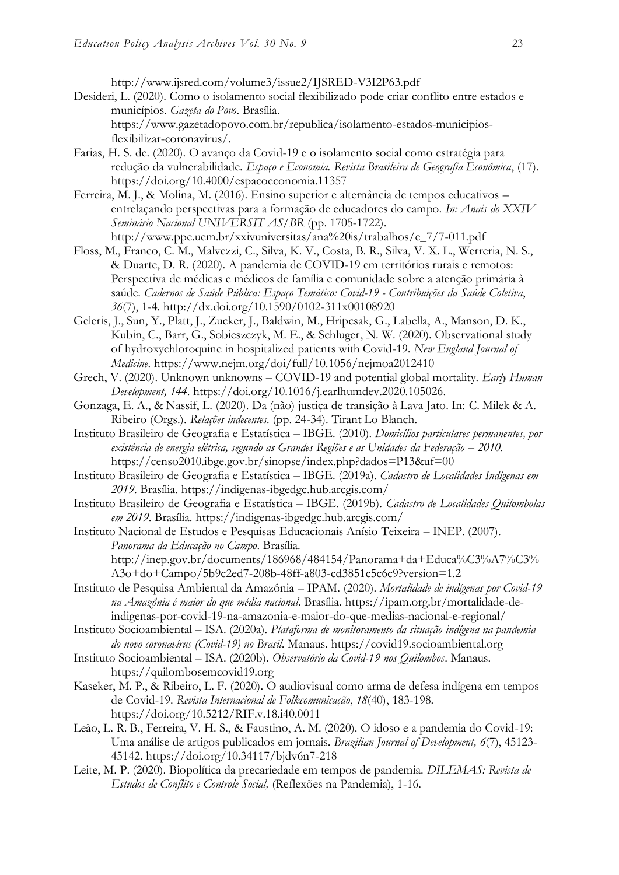<http://www.ijsred.com/volume3/issue2/IJSRED-V3I2P63.pdf>

- Desideri, L. (2020). Como o isolamento social flexibilizado pode criar conflito entre estados e municípios. *Gazeta do Povo*. Brasília. [https://www.gazetadopovo.com.br/republica/isolamento-estados-municipios](https://www.gazetadopovo.com.br/republica/isolamento-estados-municipios-flexibilizar-coronavirus/)[flexibilizar-coronavirus/.](https://www.gazetadopovo.com.br/republica/isolamento-estados-municipios-flexibilizar-coronavirus/)
- Farias, H. S. de. (2020). O avanço da Covid-19 e o isolamento social como estratégia para redução da vulnerabilidade. *Espaço e Economia. Revista Brasileira de Geografia Econômica*, (17). https://doi.org/10.4000/espacoeconomia.11357
- Ferreira, M. J., & Molina, M. (2016). Ensino superior e alternância de tempos educativos entrelaçando perspectivas para a formação de educadores do campo. *In: Anais do XXIV Seminário Nacional UNIVERSIT AS/BR* (pp. 1705-1722). http://www.ppe.uem.br/xxivuniversitas/ana%20is/trabalhos/e\_7/7-011.pdf
- Floss, M., Franco, C. M., Malvezzi, C., Silva, K. V., Costa, B. R., Silva, V. X. L., Werreria, N. S., & Duarte, D. R. (2020). A pandemia de COVID-19 em territórios rurais e remotos: Perspectiva de médicas e médicos de família e comunidade sobre a atenção primária à saúde. *Cadernos de Saúde Pública: Espaço Temático: Covid-19 - Contribuições da Saúde Coletiva*, *36*(7), 1-4. http://dx.doi.org/10.1590/0102-311x00108920
- Geleris, J., Sun, Y., Platt, J., Zucker, J., Baldwin, M., Hripcsak, G., Labella, A., Manson, D. K., Kubin, C., Barr, G., Sobieszczyk, M. E., & Schluger, N. W. (2020). Observational study of hydroxychloroquine in hospitalized patients with Covid-19. *New England Journal of Medicine*.<https://www.nejm.org/doi/full/10.1056/nejmoa2012410>
- Grech, V. (2020). Unknown unknowns COVID-19 and potential global mortality. *Early Human Development, 144*. [https://doi.org/10.1016/j.earlhumdev.2020.105026.](https://doi.org/10.1016/j.earlhumdev.2020.105026)
- Gonzaga, E. A., & Nassif, L. (2020). Da (não) justiça de transição à Lava Jato. In: C. Milek & A. Ribeiro (Orgs.). *Relações indecentes.* (pp. 24-34). Tirant Lo Blanch.
- Instituto Brasileiro de Geografia e Estatística IBGE. (2010). *Domicílios particulares permanentes, por*  existência de energia elétrica, segundo as Grandes Regiões e as Unidades da Federação – 2010. <https://censo2010.ibge.gov.br/sinopse/index.php?dados=P13&uf=00>
- Instituto Brasileiro de Geografia e Estatística IBGE. (2019a). *Cadastro de Localidades Indígenas em 2019*. Brasília.<https://indigenas-ibgedgc.hub.arcgis.com/>
- Instituto Brasileiro de Geografia e Estatística IBGE. (2019b). *Cadastro de Localidades Quilombolas em 2019*. Brasília.<https://indigenas-ibgedgc.hub.arcgis.com/>
- Instituto Nacional de Estudos e Pesquisas Educacionais Anísio Teixeira INEP. (2007). *Panorama da Educação no Campo*. Brasília. [http://inep.gov.br/documents/186968/484154/Panorama+da+Educa%C3%A7%C3%](http://inep.gov.br/documents/186968/484154/Panorama+da+Educa%C3%A7%C3%A3o+do+Campo/5b9c2ed7-208b-48ff-a803-cd3851c5c6c9?version=1.2) [A3o+do+Campo/5b9c2ed7-208b-48ff-a803-cd3851c5c6c9?version=1.2](http://inep.gov.br/documents/186968/484154/Panorama+da+Educa%C3%A7%C3%A3o+do+Campo/5b9c2ed7-208b-48ff-a803-cd3851c5c6c9?version=1.2)
- Instituto de Pesquisa Ambiental da Amazônia IPAM. (2020). *Mortalidade de indígenas por Covid-19 na Amazônia é maior do que média nacional*. Brasília. [https://ipam.org.br/mortalidade-de](https://ipam.org.br/mortalidade-de-indigenas-por-covid-19-na-amazonia-e-maior-do-que-medias-nacional-e-regional/)[indigenas-por-covid-19-na-amazonia-e-maior-do-que-medias-nacional-e-regional/](https://ipam.org.br/mortalidade-de-indigenas-por-covid-19-na-amazonia-e-maior-do-que-medias-nacional-e-regional/)
- Instituto Socioambiental ISA. (2020a). *Plataforma de monitoramento da situação indígena na pandemia do novo coronavírus (Covid-19) no Brasil*. Manaus. [https://covid19.socioambiental.org](https://covid19.socioambiental.org/)
- Instituto Socioambiental ISA. (2020b). *Observatório da Covid-19 nos Quilombos*. Manaus. [https://quilombosemcovid19.org](https://quilombosemcovid19.org/)
- Kaseker, M. P., & Ribeiro, L. F. (2020). O audiovisual como arma de defesa indígena em tempos de Covid-19. *Revista Internacional de Folkcomunicação*, *18*(40), 183-198. <https://doi.org/10.5212/RIF.v.18.i40.0011>
- Leão, L. R. B., Ferreira, V. H. S., & Faustino, A. M. (2020). O idoso e a pandemia do Covid-19: Uma análise de artigos publicados em jornais. *Brazilian Journal of Development, 6*(7), 45123- 45142.<https://doi.org/10.34117/bjdv6n7-218>
- Leite, M. P. (2020). Biopolítica da precariedade em tempos de pandemia. *DILEMAS: Revista de Estudos de Conflito e Controle Social,* (Reflexões na Pandemia), 1-16.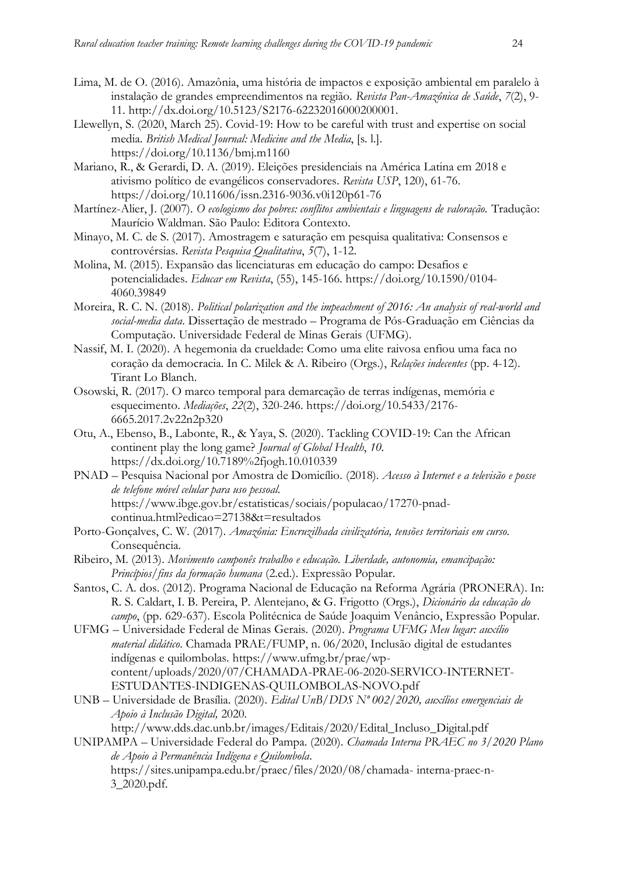- Lima, M. de O. (2016). Amazônia, uma história de impactos e exposição ambiental em paralelo à instalação de grandes empreendimentos na região. *Revista Pan-Amazônica de Saúde*, *7*(2), 9- 11. [http://dx.doi.org/10.5123/S2176-62232016000200001.](http://dx.doi.org/10.5123/S2176-62232016000200001)
- Llewellyn, S. (2020, March 25). Covid-19: How to be careful with trust and expertise on social media. *British Medical Journal: Medicine and the Media*, [s. l.]. https://doi.org/10.1136/bmj.m1160
- Mariano, R., & Gerardi, D. A. (2019). Eleições presidenciais na América Latina em 2018 e ativismo político de evangélicos conservadores. *Revista USP*, 120), 61-76. https://doi.org/10.11606/issn.2316-9036.v0i120p61-76
- Martínez-Alier, J. (2007). *O ecologismo dos pobres: conflitos ambientais e linguagens de valoração.* Tradução: Maurício Waldman. São Paulo: Editora Contexto.
- Minayo, M. C. de S. (2017). Amostragem e saturação em pesquisa qualitativa: Consensos e controvérsias. *Revista Pesquisa Qualitativa*, *5*(7), 1-12.
- Molina, M. (2015). Expansão das licenciaturas em educação do campo: Desafios e potencialidades. *Educar em Revista*, (55), 145-166. https://doi.org/10.1590/0104- 4060.39849
- Moreira, R. C. N. (2018). *Political polarization and the impeachment of 2016: An analysis of real-world and social-media data*. Dissertação de mestrado – Programa de Pós-Graduação em Ciências da Computação. Universidade Federal de Minas Gerais (UFMG).
- Nassif, M. I. (2020). A hegemonia da crueldade: Como uma elite raivosa enfiou uma faca no coração da democracia. In C. Milek & A. Ribeiro (Orgs.), *Relações indecentes* (pp. 4-12). Tirant Lo Blanch.
- Osowski, R. (2017). O marco temporal para demarcação de terras indígenas, memória e esquecimento. *Mediações*, *22*(2), 320-246. https://doi.org/10.5433/2176- 6665.2017.2v22n2p320
- Otu, A., Ebenso, B., Labonte, R., & Yaya, S. (2020). Tackling COVID-19: Can the African continent play the long game? *Journal of Global Health*, *10*. https://dx.doi.org[/10.7189%2fjogh.10.010339](https://dx.doi.org/10.7189%2Fjogh.10.010339)
- PNAD Pesquisa Nacional por Amostra de Domicílio*.* (2018). *Acesso à Internet e a televisão e posse de telefone móvel celular para uso pessoal.* https://www.ibge.gov.br/estatisticas/sociais/populacao/17270-pnadcontinua.html?edicao=27138&t=resultados
- Porto-Gonçalves, C. W. (2017). *Amazônia: Encruzilhada civilizatória, tensões territoriais em curso.* Consequência.
- Ribeiro, M. (2013). *Movimento camponês trabalho e educação. Liberdade, autonomia, emancipação: Princípios/fins da formação humana* (2.ed.). Expressão Popular.
- Santos, C. A. dos. (2012). Programa Nacional de Educação na Reforma Agrária (PRONERA). In: R. S. Caldart, I. B. Pereira, P. Alentejano, & G. Frigotto (Orgs.), *Dicionário da educação do campo*, (pp. 629-637). Escola Politécnica de Saúde Joaquim Venâncio, Expressão Popular.
- UFMG Universidade Federal de Minas Gerais. (2020). *Programa UFMG Meu lugar: auxílio material didático*. Chamada PRAE/FUMP, n. 06/2020, Inclusão digital de estudantes indígenas e quilombolas. [https://www.ufmg.br/prae/wp](https://www.ufmg.br/prae/wp-content/uploads/2020/07/CHAMADA-PRAE-06-2020-SERVICO-INTERNET-ESTUDANTES-INDIGENAS-QUILOMBOLAS-NOVO.pdf)[content/uploads/2020/07/CHAMADA-PRAE-06-2020-SERVICO-INTERNET-](https://www.ufmg.br/prae/wp-content/uploads/2020/07/CHAMADA-PRAE-06-2020-SERVICO-INTERNET-ESTUDANTES-INDIGENAS-QUILOMBOLAS-NOVO.pdf)[ESTUDANTES-INDIGENAS-QUILOMBOLAS-NOVO.pdf](https://www.ufmg.br/prae/wp-content/uploads/2020/07/CHAMADA-PRAE-06-2020-SERVICO-INTERNET-ESTUDANTES-INDIGENAS-QUILOMBOLAS-NOVO.pdf)
- UNB Universidade de Brasília. (2020). *Edital UnB/DDS Nº 002/2020, auxílios emergenciais de Apoio à Inclusão Digital,* 2020.

[http://www.dds.dac.unb.br/images/Editais/2020/Edital\\_Incluso\\_Digital.pdf](http://www.dds.dac.unb.br/images/Editais/2020/Edital_Incluso_Digital.pdf) UNIPAMPA – Universidade Federal do Pampa. (2020). *Chamada Interna PRAEC no 3/2020 Plano de Apoio à Permanência Indígena e Quilombola*. [https://sites.unipampa.edu.br/praec/files/2020/08/chamada-](https://sites.unipampa.edu.br/praec/files/2020/08/chamada-%20interna-praec-n-3_2020.pdf.) interna-praec-n-[3\\_2020.pdf.](https://sites.unipampa.edu.br/praec/files/2020/08/chamada-%20interna-praec-n-3_2020.pdf.)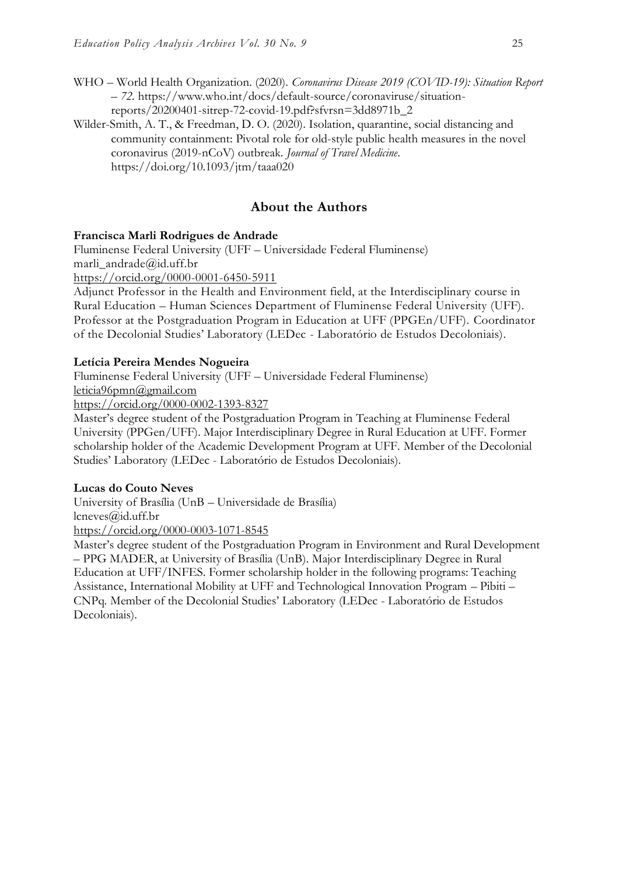- WHO World Health Organization. (2020). *Coronavirus Disease 2019 (COVID-19): Situation Report – 72.* https://www.who.int/docs/default-source/coronaviruse/situationreports/20200401-sitrep-72-covid-19.pdf?sfvrsn=3dd8971b\_2
- Wilder-Smith, A. T., & Freedman, D. O. (2020). Isolation, quarantine, social distancing and community containment: Pivotal role for old-style public health measures in the novel coronavirus (2019-nCoV) outbreak. *Journal of Travel Medicine*. https://doi.org/10.1093/jtm/taaa020

### **About the Authors**

#### **Francisca Marli Rodrigues de Andrade**

Fluminense Federal University (UFF – Universidade Federal Fluminense) marli\_andrade@id.uff.br

<https://orcid.org/0000-0001-6450-5911>

Adjunct Professor in the Health and Environment field, at the Interdisciplinary course in Rural Education – Human Sciences Department of Fluminense Federal University (UFF). Professor at the Postgraduation Program in Education at UFF (PPGEn/UFF). Coordinator of the Decolonial Studies' Laboratory (LEDec - Laboratório de Estudos Decoloniais).

#### **Letícia Pereira Mendes Nogueira**

Fluminense Federal University (UFF – Universidade Federal Fluminense) [leticia96pmn@gmail.com](mailto:leticia96pmn@gmail.com)

<https://orcid.org/0000-0002-1393-8327>

Master's degree student of the Postgraduation Program in Teaching at Fluminense Federal University (PPGen/UFF). Major Interdisciplinary Degree in Rural Education at UFF. Former scholarship holder of the Academic Development Program at UFF. Member of the Decolonial Studies' Laboratory (LEDec - Laboratório de Estudos Decoloniais).

#### **Lucas do Couto Neves**

University of Brasília (UnB – Universidade de Brasília) lcneves@id.uff.br

<https://orcid.org/0000-0003-1071-8545>

Master's degree student of the Postgraduation Program in Environment and Rural Development – PPG MADER, at University of Brasília (UnB). Major Interdisciplinary Degree in Rural Education at UFF/INFES. Former scholarship holder in the following programs: Teaching Assistance, International Mobility at UFF and Technological Innovation Program – Pibiti – CNPq. Member of the Decolonial Studies' Laboratory (LEDec - Laboratório de Estudos Decoloniais).